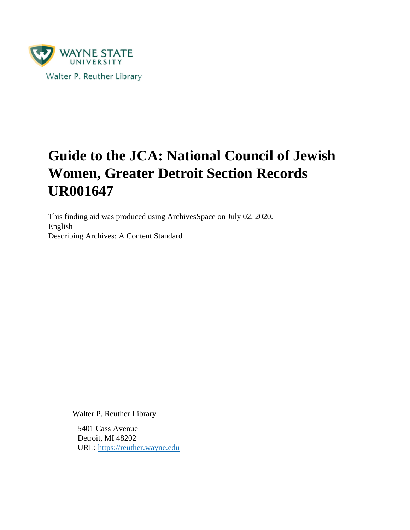

# **Guide to the JCA: National Council of Jewish Women, Greater Detroit Section Records UR001647**

This finding aid was produced using ArchivesSpace on July 02, 2020. English Describing Archives: A Content Standard

Walter P. Reuther Library

5401 Cass Avenue Detroit, MI 48202 URL:<https://reuther.wayne.edu>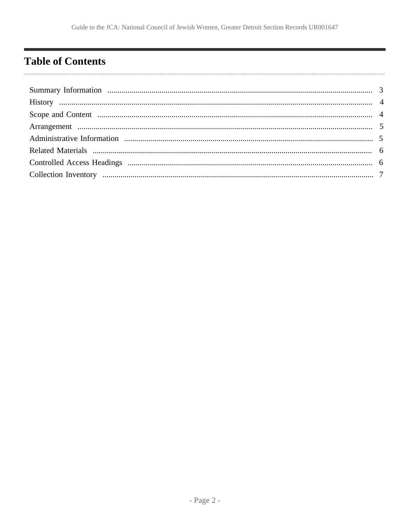## <span id="page-1-0"></span>**Table of Contents**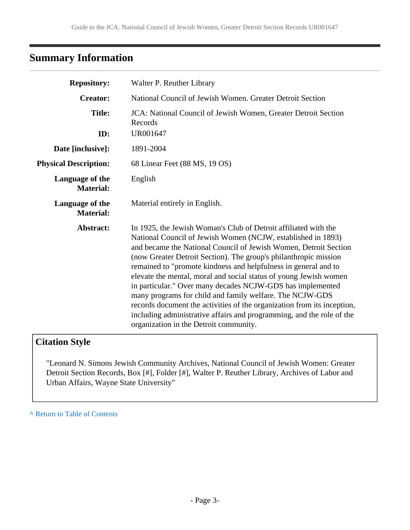## <span id="page-2-0"></span>**Summary Information**

| <b>Repository:</b>                                                                         | Walter P. Reuther Library                                                                                                                                                                                                                                                                                                                                                                                                                                                                                                                                                                                                                                                                                                               |  |  |
|--------------------------------------------------------------------------------------------|-----------------------------------------------------------------------------------------------------------------------------------------------------------------------------------------------------------------------------------------------------------------------------------------------------------------------------------------------------------------------------------------------------------------------------------------------------------------------------------------------------------------------------------------------------------------------------------------------------------------------------------------------------------------------------------------------------------------------------------------|--|--|
| <b>Creator:</b>                                                                            | National Council of Jewish Women. Greater Detroit Section                                                                                                                                                                                                                                                                                                                                                                                                                                                                                                                                                                                                                                                                               |  |  |
| <b>Title:</b><br>JCA: National Council of Jewish Women, Greater Detroit Section<br>Records |                                                                                                                                                                                                                                                                                                                                                                                                                                                                                                                                                                                                                                                                                                                                         |  |  |
| ID:                                                                                        | UR001647                                                                                                                                                                                                                                                                                                                                                                                                                                                                                                                                                                                                                                                                                                                                |  |  |
| Date [inclusive]:                                                                          | 1891-2004                                                                                                                                                                                                                                                                                                                                                                                                                                                                                                                                                                                                                                                                                                                               |  |  |
| <b>Physical Description:</b>                                                               | 68 Linear Feet (88 MS, 19 OS)                                                                                                                                                                                                                                                                                                                                                                                                                                                                                                                                                                                                                                                                                                           |  |  |
| Language of the<br><b>Material:</b>                                                        | English                                                                                                                                                                                                                                                                                                                                                                                                                                                                                                                                                                                                                                                                                                                                 |  |  |
| Language of the<br><b>Material:</b>                                                        | Material entirely in English.                                                                                                                                                                                                                                                                                                                                                                                                                                                                                                                                                                                                                                                                                                           |  |  |
| Abstract:                                                                                  | In 1925, the Jewish Woman's Club of Detroit affiliated with the<br>National Council of Jewish Women (NCJW, established in 1893)<br>and became the National Council of Jewish Women, Detroit Section<br>(now Greater Detroit Section). The group's philanthropic mission<br>remained to "promote kindness and helpfulness in general and to<br>elevate the mental, moral and social status of young Jewish women<br>in particular." Over many decades NCJW-GDS has implemented<br>many programs for child and family welfare. The NCJW-GDS<br>records document the activities of the organization from its inception,<br>including administrative affairs and programming, and the role of the<br>organization in the Detroit community. |  |  |

### **Citation Style**

"Leonard N. Simons Jewish Community Archives, National Council of Jewish Women: Greater Detroit Section Records, Box [#], Folder [#], Walter P. Reuther Library, Archives of Labor and Urban Affairs, Wayne State University"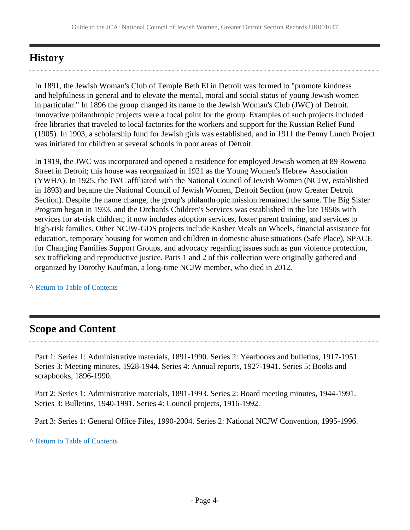### <span id="page-3-0"></span>**History**

In 1891, the Jewish Woman's Club of Temple Beth El in Detroit was formed to "promote kindness and helpfulness in general and to elevate the mental, moral and social status of young Jewish women in particular." In 1896 the group changed its name to the Jewish Woman's Club (JWC) of Detroit. Innovative philanthropic projects were a focal point for the group. Examples of such projects included free libraries that traveled to local factories for the workers and support for the Russian Relief Fund (1905). In 1903, a scholarship fund for Jewish girls was established, and in 1911 the Penny Lunch Project was initiated for children at several schools in poor areas of Detroit.

In 1919, the JWC was incorporated and opened a residence for employed Jewish women at 89 Rowena Street in Detroit; this house was reorganized in 1921 as the Young Women's Hebrew Association (YWHA). In 1925, the JWC affiliated with the National Council of Jewish Women (NCJW, established in 1893) and became the National Council of Jewish Women, Detroit Section (now Greater Detroit Section). Despite the name change, the group's philanthropic mission remained the same. The Big Sister Program began in 1933, and the Orchards Children's Services was established in the late 1950s with services for at-risk children; it now includes adoption services, foster parent training, and services to high-risk families. Other NCJW-GDS projects include Kosher Meals on Wheels, financial assistance for education, temporary housing for women and children in domestic abuse situations (Safe Place), SPACE for Changing Families Support Groups, and advocacy regarding issues such as gun violence protection, sex trafficking and reproductive justice. Parts 1 and 2 of this collection were originally gathered and organized by Dorothy Kaufman, a long-time NCJW member, who died in 2012.

**^** [Return to Table of Contents](#page-1-0)

### <span id="page-3-1"></span>**Scope and Content**

Part 1: Series 1: Administrative materials, 1891-1990. Series 2: Yearbooks and bulletins, 1917-1951. Series 3: Meeting minutes, 1928-1944. Series 4: Annual reports, 1927-1941. Series 5: Books and scrapbooks, 1896-1990.

Part 2: Series 1: Administrative materials, 1891-1993. Series 2: Board meeting minutes, 1944-1991. Series 3: Bulletins, 1940-1991. Series 4: Council projects, 1916-1992.

Part 3: Series 1: General Office Files, 1990-2004. Series 2: National NCJW Convention, 1995-1996.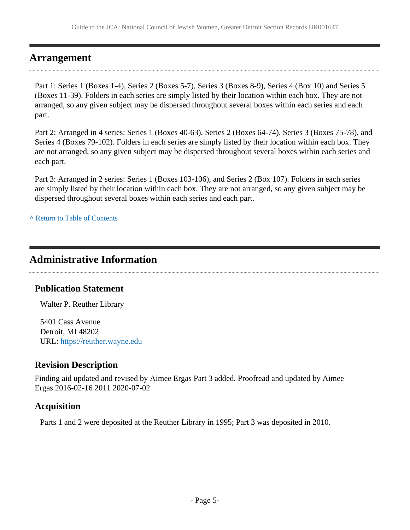### <span id="page-4-0"></span>**Arrangement**

Part 1: Series 1 (Boxes 1-4), Series 2 (Boxes 5-7), Series 3 (Boxes 8-9), Series 4 (Box 10) and Series 5 (Boxes 11-39). Folders in each series are simply listed by their location within each box. They are not arranged, so any given subject may be dispersed throughout several boxes within each series and each part.

Part 2: Arranged in 4 series: Series 1 (Boxes 40-63), Series 2 (Boxes 64-74), Series 3 (Boxes 75-78), and Series 4 (Boxes 79-102). Folders in each series are simply listed by their location within each box. They are not arranged, so any given subject may be dispersed throughout several boxes within each series and each part.

Part 3: Arranged in 2 series: Series 1 (Boxes 103-106), and Series 2 (Box 107). Folders in each series are simply listed by their location within each box. They are not arranged, so any given subject may be dispersed throughout several boxes within each series and each part.

**^** [Return to Table of Contents](#page-1-0)

### <span id="page-4-1"></span>**Administrative Information**

### **Publication Statement**

Walter P. Reuther Library

5401 Cass Avenue Detroit, MI 48202 URL:<https://reuther.wayne.edu>

### **Revision Description**

Finding aid updated and revised by Aimee Ergas Part 3 added. Proofread and updated by Aimee Ergas 2016-02-16 2011 2020-07-02

### **Acquisition**

Parts 1 and 2 were deposited at the Reuther Library in 1995; Part 3 was deposited in 2010.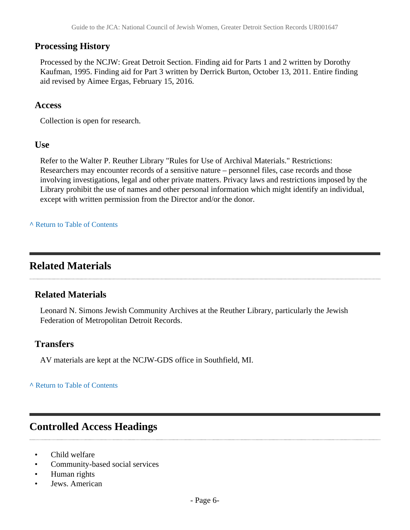### **Processing History**

Processed by the NCJW: Great Detroit Section. Finding aid for Parts 1 and 2 written by Dorothy Kaufman, 1995. Finding aid for Part 3 written by Derrick Burton, October 13, 2011. Entire finding aid revised by Aimee Ergas, February 15, 2016.

#### **Access**

Collection is open for research.

#### **Use**

Refer to the Walter P. Reuther Library "Rules for Use of Archival Materials." Restrictions: Researchers may encounter records of a sensitive nature – personnel files, case records and those involving investigations, legal and other private matters. Privacy laws and restrictions imposed by the Library prohibit the use of names and other personal information which might identify an individual, except with written permission from the Director and/or the donor.

#### **^** [Return to Table of Contents](#page-1-0)

### <span id="page-5-0"></span>**Related Materials**

### **Related Materials**

Leonard N. Simons Jewish Community Archives at the Reuther Library, particularly the Jewish Federation of Metropolitan Detroit Records.

#### **Transfers**

AV materials are kept at the NCJW-GDS office in Southfield, MI.

**^** [Return to Table of Contents](#page-1-0)

### <span id="page-5-1"></span>**Controlled Access Headings**

- Child welfare
- Community-based social services
- Human rights
- Jews. American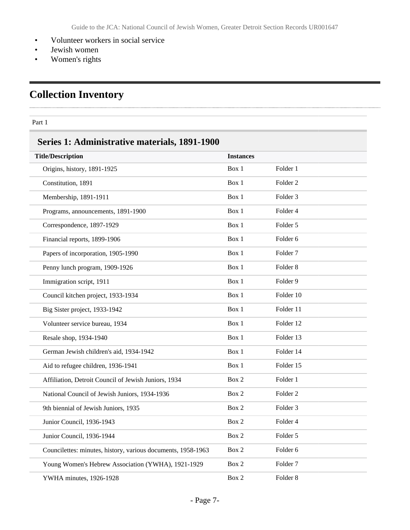- Volunteer workers in social service
- Jewish women
- Women's rights

## <span id="page-6-0"></span>**Collection Inventory**

#### Part 1

. . . . . .

## **Series 1: Administrative materials, 1891-1900**

| <b>Title/Description</b>                                     | <b>Instances</b> |                     |
|--------------------------------------------------------------|------------------|---------------------|
| Origins, history, 1891-1925                                  | Box 1            | Folder 1            |
| Constitution, 1891                                           | Box 1            | Folder 2            |
| Membership, 1891-1911                                        | Box 1            | Folder <sub>3</sub> |
| Programs, announcements, 1891-1900                           | Box 1            | Folder 4            |
| Correspondence, 1897-1929                                    | Box 1            | Folder 5            |
| Financial reports, 1899-1906                                 | Box 1            | Folder 6            |
| Papers of incorporation, 1905-1990                           | Box 1            | Folder <sub>7</sub> |
| Penny lunch program, 1909-1926                               | Box 1            | Folder <sub>8</sub> |
| Immigration script, 1911                                     | Box 1            | Folder 9            |
| Council kitchen project, 1933-1934                           | Box 1            | Folder 10           |
| Big Sister project, 1933-1942                                | Box 1            | Folder 11           |
| Volunteer service bureau, 1934                               | Box 1            | Folder 12           |
| Resale shop, 1934-1940                                       | Box 1            | Folder 13           |
| German Jewish children's aid, 1934-1942                      | Box 1            | Folder 14           |
| Aid to refugee children, 1936-1941                           | Box 1            | Folder 15           |
| Affiliation, Detroit Council of Jewish Juniors, 1934         | Box 2            | Folder 1            |
| National Council of Jewish Juniors, 1934-1936                | Box 2            | Folder <sub>2</sub> |
| 9th biennial of Jewish Juniors, 1935                         | Box 2            | Folder 3            |
| Junior Council, 1936-1943                                    | Box 2            | Folder 4            |
| Junior Council, 1936-1944                                    | Box 2            | Folder 5            |
| Councilettes: minutes, history, various documents, 1958-1963 | Box 2            | Folder 6            |
| Young Women's Hebrew Association (YWHA), 1921-1929           | Box 2            | Folder <sub>7</sub> |
| YWHA minutes, 1926-1928                                      | Box 2            | Folder <sub>8</sub> |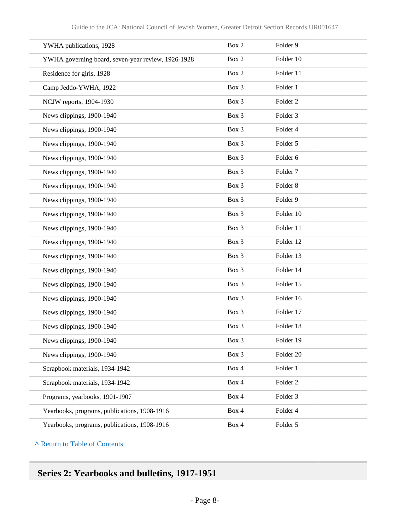| YWHA publications, 1928                            | Box 2 | Folder 9            |
|----------------------------------------------------|-------|---------------------|
| YWHA governing board, seven-year review, 1926-1928 | Box 2 | Folder 10           |
| Residence for girls, 1928                          | Box 2 | Folder 11           |
| Camp Jeddo-YWHA, 1922                              | Box 3 | Folder 1            |
| NCJW reports, 1904-1930                            | Box 3 | Folder <sub>2</sub> |
| News clippings, 1900-1940                          | Box 3 | Folder 3            |
| News clippings, 1900-1940                          | Box 3 | Folder 4            |
| News clippings, 1900-1940                          | Box 3 | Folder 5            |
| News clippings, 1900-1940                          | Box 3 | Folder 6            |
| News clippings, 1900-1940                          | Box 3 | Folder <sub>7</sub> |
| News clippings, 1900-1940                          | Box 3 | Folder <sub>8</sub> |
| News clippings, 1900-1940                          | Box 3 | Folder 9            |
| News clippings, 1900-1940                          | Box 3 | Folder 10           |
| News clippings, 1900-1940                          | Box 3 | Folder 11           |
| News clippings, 1900-1940                          | Box 3 | Folder 12           |
| News clippings, 1900-1940                          | Box 3 | Folder 13           |
| News clippings, 1900-1940                          | Box 3 | Folder 14           |
| News clippings, 1900-1940                          | Box 3 | Folder 15           |
| News clippings, 1900-1940                          | Box 3 | Folder 16           |
| News clippings, 1900-1940                          | Box 3 | Folder 17           |
| News clippings, 1900-1940                          | Box 3 | Folder 18           |
| News clippings, 1900-1940                          | Box 3 | Folder 19           |
| News clippings, 1900-1940                          | Box 3 | Folder 20           |
| Scrapbook materials, 1934-1942                     | Box 4 | Folder 1            |
| Scrapbook materials, 1934-1942                     | Box 4 | Folder <sub>2</sub> |
| Programs, yearbooks, 1901-1907                     | Box 4 | Folder 3            |
| Yearbooks, programs, publications, 1908-1916       | Box 4 | Folder 4            |
| Yearbooks, programs, publications, 1908-1916       | Box 4 | Folder 5            |

## **Series 2: Yearbooks and bulletins, 1917-1951**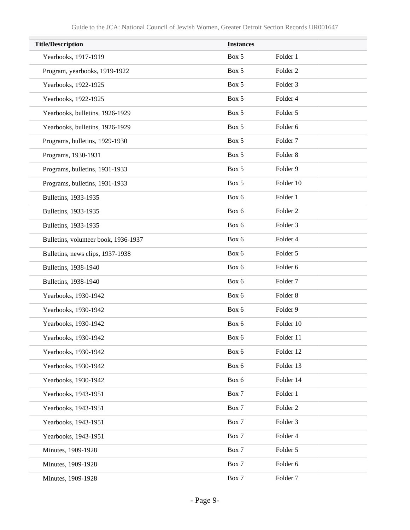| <b>Title/Description</b>             | <b>Instances</b> |                     |  |
|--------------------------------------|------------------|---------------------|--|
| Yearbooks, 1917-1919                 | Box 5            | Folder 1            |  |
| Program, yearbooks, 1919-1922        | Box 5            | Folder <sub>2</sub> |  |
| Yearbooks, 1922-1925                 | Box 5            | Folder 3            |  |
| Yearbooks, 1922-1925                 | Box 5            | Folder 4            |  |
| Yearbooks, bulletins, 1926-1929      | Box 5            | Folder 5            |  |
| Yearbooks, bulletins, 1926-1929      | Box 5            | Folder 6            |  |
| Programs, bulletins, 1929-1930       | Box 5            | Folder <sub>7</sub> |  |
| Programs, 1930-1931                  | Box 5            | Folder <sub>8</sub> |  |
| Programs, bulletins, 1931-1933       | Box 5            | Folder 9            |  |
| Programs, bulletins, 1931-1933       | Box 5            | Folder 10           |  |
| Bulletins, 1933-1935                 | Box 6            | Folder 1            |  |
| Bulletins, 1933-1935                 | Box 6            | Folder <sub>2</sub> |  |
| Bulletins, 1933-1935                 | Box 6            | Folder 3            |  |
| Bulletins, volunteer book, 1936-1937 | Box 6            | Folder 4            |  |
| Bulletins, news clips, 1937-1938     | Box 6            | Folder 5            |  |
| Bulletins, 1938-1940                 | Box 6            | Folder 6            |  |
| Bulletins, 1938-1940                 | Box 6            | Folder <sub>7</sub> |  |
| Yearbooks, 1930-1942                 | Box 6            | Folder <sub>8</sub> |  |
| Yearbooks, 1930-1942                 | Box 6            | Folder 9            |  |
| Yearbooks, 1930-1942                 | Box 6            | Folder 10           |  |
| Yearbooks, 1930-1942                 | Box 6            | Folder 11           |  |
| Yearbooks, 1930-1942                 | Box 6            | Folder 12           |  |
| Yearbooks, 1930-1942                 | Box 6            | Folder 13           |  |
| Yearbooks, 1930-1942                 | Box 6            | Folder 14           |  |
| Yearbooks, 1943-1951                 | Box 7            | Folder 1            |  |
| Yearbooks, 1943-1951                 | Box 7            | Folder 2            |  |
| Yearbooks, 1943-1951                 | Box 7            | Folder 3            |  |
| Yearbooks, 1943-1951                 | Box 7            | Folder 4            |  |
| Minutes, 1909-1928                   | Box 7            | Folder 5            |  |
| Minutes, 1909-1928                   | Box 7            | Folder 6            |  |
| Minutes, 1909-1928                   | Box 7            | Folder <sub>7</sub> |  |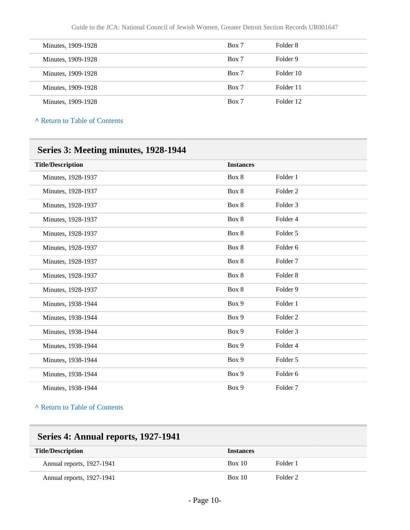| Minutes, 1909-1928 | Box 7 | Folder 8  |
|--------------------|-------|-----------|
| Minutes, 1909-1928 | Box 7 | Folder 9  |
| Minutes, 1909-1928 | Box 7 | Folder 10 |
| Minutes, 1909-1928 | Box 7 | Folder 11 |
| Minutes, 1909-1928 | Box 7 | Folder 12 |

| <b>Title/Description</b> | <b>Instances</b> |                     |
|--------------------------|------------------|---------------------|
| Minutes, 1928-1937       | Box 8            | Folder 1            |
| Minutes, 1928-1937       | Box 8            | Folder <sub>2</sub> |
| Minutes, 1928-1937       | Box 8            | Folder <sub>3</sub> |
| Minutes, 1928-1937       | Box 8            | Folder 4            |
| Minutes, 1928-1937       | Box 8            | Folder 5            |
| Minutes, 1928-1937       | Box 8            | Folder 6            |
| Minutes, 1928-1937       | Box 8            | Folder <sub>7</sub> |
| Minutes, 1928-1937       | Box 8            | Folder <sub>8</sub> |
| Minutes, 1928-1937       | Box 8            | Folder <sub>9</sub> |
| Minutes, 1938-1944       | Box 9            | Folder 1            |
| Minutes, 1938-1944       | Box 9            | Folder <sub>2</sub> |
| Minutes, 1938-1944       | Box 9            | Folder <sub>3</sub> |
| Minutes, 1938-1944       | Box 9            | Folder 4            |
| Minutes, 1938-1944       | Box 9            | Folder 5            |
| Minutes, 1938-1944       | Box 9            | Folder <sub>6</sub> |
| Minutes, 1938-1944       | Box 9            | Folder <sub>7</sub> |

**^** [Return to Table of Contents](#page-1-0)

| Series 4: Annual reports, 1927-1941 |                  |          |  |
|-------------------------------------|------------------|----------|--|
| <b>Title/Description</b>            | <b>Instances</b> |          |  |
| Annual reports, 1927-1941           | Box 10           | Folder 1 |  |
| Annual reports, 1927-1941           | Box 10           | Folder 2 |  |

### - Page 10-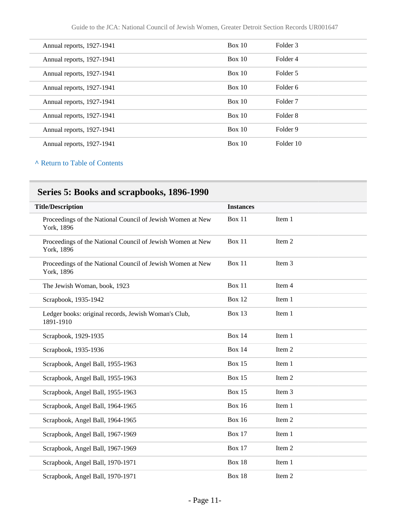| Annual reports, 1927-1941 | Box 10 | Folder 3            |
|---------------------------|--------|---------------------|
| Annual reports, 1927-1941 | Box 10 | Folder 4            |
| Annual reports, 1927-1941 | Box 10 | Folder 5            |
| Annual reports, 1927-1941 | Box 10 | Folder 6            |
| Annual reports, 1927-1941 | Box 10 | Folder <sub>7</sub> |
| Annual reports, 1927-1941 | Box 10 | Folder 8            |
| Annual reports, 1927-1941 | Box 10 | Folder 9            |
| Annual reports, 1927-1941 | Box 10 | Folder 10           |

## **Series 5: Books and scrapbooks, 1896-1990**

| <b>Title/Description</b>                                                 | <b>Instances</b> |        |
|--------------------------------------------------------------------------|------------------|--------|
| Proceedings of the National Council of Jewish Women at New<br>York, 1896 | Box 11           | Item 1 |
| Proceedings of the National Council of Jewish Women at New<br>York, 1896 | <b>Box 11</b>    | Item 2 |
| Proceedings of the National Council of Jewish Women at New<br>York, 1896 | <b>Box 11</b>    | Item 3 |
| The Jewish Woman, book, 1923                                             | <b>Box 11</b>    | Item 4 |
| Scrapbook, 1935-1942                                                     | <b>Box 12</b>    | Item 1 |
| Ledger books: original records, Jewish Woman's Club,<br>1891-1910        | Box 13           | Item 1 |
| Scrapbook, 1929-1935                                                     | <b>Box 14</b>    | Item 1 |
| Scrapbook, 1935-1936                                                     | <b>Box 14</b>    | Item 2 |
| Scrapbook, Angel Ball, 1955-1963                                         | <b>Box 15</b>    | Item 1 |
| Scrapbook, Angel Ball, 1955-1963                                         | <b>Box 15</b>    | Item 2 |
| Scrapbook, Angel Ball, 1955-1963                                         | <b>Box 15</b>    | Item 3 |
| Scrapbook, Angel Ball, 1964-1965                                         | <b>Box 16</b>    | Item 1 |
| Scrapbook, Angel Ball, 1964-1965                                         | <b>Box 16</b>    | Item 2 |
| Scrapbook, Angel Ball, 1967-1969                                         | <b>Box 17</b>    | Item 1 |
| Scrapbook, Angel Ball, 1967-1969                                         | <b>Box 17</b>    | Item 2 |
| Scrapbook, Angel Ball, 1970-1971                                         | <b>Box 18</b>    | Item 1 |
| Scrapbook, Angel Ball, 1970-1971                                         | Box 18           | Item 2 |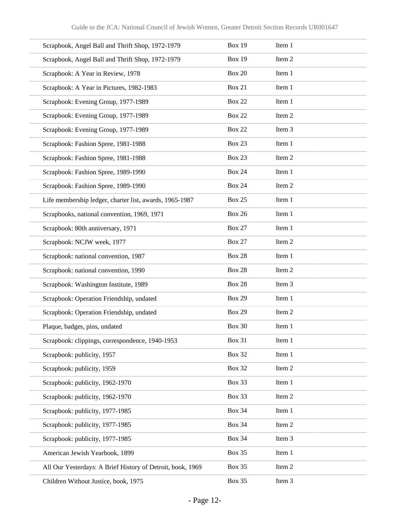| Scrapbook, Angel Ball and Thrift Shop, 1972-1979           | <b>Box 19</b> | Item 1 |
|------------------------------------------------------------|---------------|--------|
| Scrapbook, Angel Ball and Thrift Shop, 1972-1979           | <b>Box 19</b> | Item 2 |
| Scrapbook: A Year in Review, 1978                          | <b>Box 20</b> | Item 1 |
| Scrapbook: A Year in Pictures, 1982-1983                   | <b>Box 21</b> | Item 1 |
| Scrapbook: Evening Group, 1977-1989                        | <b>Box 22</b> | Item 1 |
| Scrapbook: Evening Group, 1977-1989                        | <b>Box 22</b> | Item 2 |
| Scrapbook: Evening Group, 1977-1989                        | <b>Box 22</b> | Item 3 |
| Scrapbook: Fashion Spree, 1981-1988                        | <b>Box 23</b> | Item 1 |
| Scrapbook: Fashion Spree, 1981-1988                        | <b>Box 23</b> | Item 2 |
| Scrapbook: Fashion Spree, 1989-1990                        | <b>Box 24</b> | Item 1 |
| Scrapbook: Fashion Spree, 1989-1990                        | <b>Box 24</b> | Item 2 |
| Life membership ledger, charter list, awards, 1965-1987    | <b>Box 25</b> | Item 1 |
| Scrapbooks, national convention, 1969, 1971                | <b>Box 26</b> | Item 1 |
| Scrapbook: 80th anniversary, 1971                          | <b>Box 27</b> | Item 1 |
| Scrapbook: NCJW week, 1977                                 | <b>Box 27</b> | Item 2 |
| Scrapbook: national convention, 1987                       | <b>Box 28</b> | Item 1 |
| Scrapbook: national convention, 1990                       | <b>Box 28</b> | Item 2 |
| Scrapbook: Washington Institute, 1989                      | <b>Box 28</b> | Item 3 |
| Scrapbook: Operation Friendship, undated                   | <b>Box 29</b> | Item 1 |
| Scrapbook: Operation Friendship, undated                   | <b>Box 29</b> | Item 2 |
| Plaque, badges, pins, undated                              | <b>Box 30</b> | Item 1 |
| Scrapbook: clippings, correspondence, 1940-1953            | <b>Box 31</b> | Item 1 |
| Scrapbook: publicity, 1957                                 | <b>Box 32</b> | Item 1 |
| Scrapbook: publicity, 1959                                 | <b>Box 32</b> | Item 2 |
| Scrapbook: publicity, 1962-1970                            | Box 33        | Item 1 |
| Scrapbook: publicity, 1962-1970                            | <b>Box 33</b> | Item 2 |
| Scrapbook: publicity, 1977-1985                            | <b>Box 34</b> | Item 1 |
| Scrapbook: publicity, 1977-1985                            | <b>Box 34</b> | Item 2 |
| Scrapbook: publicity, 1977-1985                            | <b>Box 34</b> | Item 3 |
| American Jewish Yearbook, 1899                             | <b>Box 35</b> | Item 1 |
| All Our Yesterdays: A Brief History of Detroit, book, 1969 | <b>Box 35</b> | Item 2 |
| Children Without Justice, book, 1975                       | <b>Box 35</b> | Item 3 |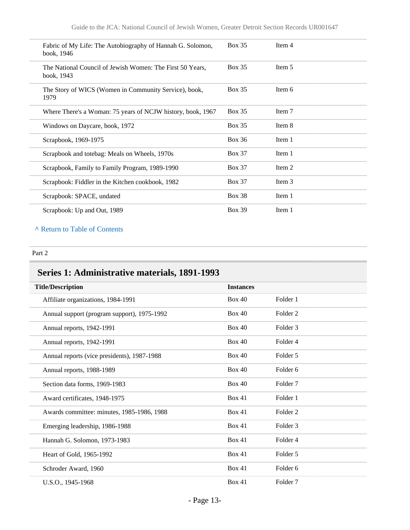| Fabric of My Life: The Autobiography of Hannah G. Solomon,<br>book, 1946 | <b>Box 35</b> | Item 4 |  |
|--------------------------------------------------------------------------|---------------|--------|--|
| The National Council of Jewish Women: The First 50 Years,<br>book, 1943  | <b>Box 35</b> | Item 5 |  |
| The Story of WICS (Women in Community Service), book,<br>1979            | <b>Box 35</b> | Item 6 |  |
| Where There's a Woman: 75 years of NCJW history, book, 1967              | <b>Box 35</b> | Item 7 |  |
| Windows on Daycare, book, 1972                                           | <b>Box 35</b> | Item 8 |  |
| Scrapbook, 1969-1975                                                     | <b>Box 36</b> | Item 1 |  |
| Scrapbook and totebag: Meals on Wheels, 1970s                            | <b>Box 37</b> | Item 1 |  |
| Scrapbook, Family to Family Program, 1989-1990                           | <b>Box 37</b> | Item 2 |  |
| Scrapbook: Fiddler in the Kitchen cookbook, 1982                         | <b>Box 37</b> | Item 3 |  |
| Scrapbook: SPACE, undated                                                | <b>Box 38</b> | Item 1 |  |
| Scrapbook: Up and Out, 1989                                              | <b>Box 39</b> | Item 1 |  |

#### Part 2

## **Series 1: Administrative materials, 1891-1993**

| <b>Title/Description</b>                    | <b>Instances</b> |                     |
|---------------------------------------------|------------------|---------------------|
| Affiliate organizations, 1984-1991          | Box 40           | Folder 1            |
| Annual support (program support), 1975-1992 | <b>Box 40</b>    | Folder <sub>2</sub> |
| Annual reports, 1942-1991                   | Box 40           | Folder <sub>3</sub> |
| Annual reports, 1942-1991                   | <b>Box 40</b>    | Folder 4            |
| Annual reports (vice presidents), 1987-1988 | Box 40           | Folder 5            |
| Annual reports, 1988-1989                   | Box 40           | Folder 6            |
| Section data forms, 1969-1983               | Box 40           | Folder <sub>7</sub> |
| Award certificates, 1948-1975               | <b>Box 41</b>    | Folder 1            |
| Awards committee: minutes, 1985-1986, 1988  | <b>Box 41</b>    | Folder <sub>2</sub> |
| Emerging leadership, 1986-1988              | <b>Box 41</b>    | Folder <sub>3</sub> |
| Hannah G. Solomon, 1973-1983                | Box 41           | Folder 4            |
| Heart of Gold, 1965-1992                    | <b>Box 41</b>    | Folder 5            |
| Schroder Award, 1960                        | <b>Box 41</b>    | Folder 6            |
| U.S.O., 1945-1968                           | Box 41           | Folder <sub>7</sub> |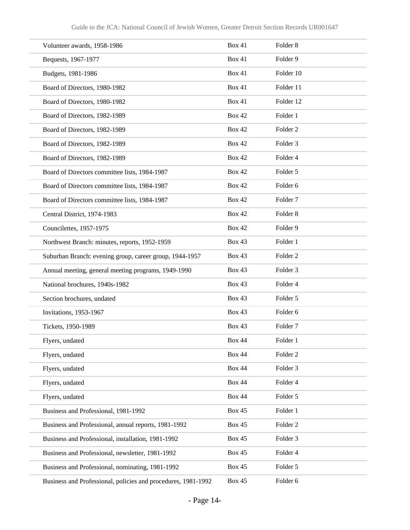| Volunteer awards, 1958-1986                                   | Box 41        | Folder <sub>8</sub> |
|---------------------------------------------------------------|---------------|---------------------|
| Bequests, 1967-1977                                           | <b>Box 41</b> | Folder 9            |
| Budgets, 1981-1986                                            | <b>Box 41</b> | Folder 10           |
| Board of Directors, 1980-1982                                 | <b>Box 41</b> | Folder 11           |
| Board of Directors, 1980-1982                                 | <b>Box 41</b> | Folder 12           |
| Board of Directors, 1982-1989                                 | <b>Box 42</b> | Folder 1            |
| Board of Directors, 1982-1989                                 | <b>Box 42</b> | Folder <sub>2</sub> |
| Board of Directors, 1982-1989                                 | <b>Box 42</b> | Folder <sub>3</sub> |
| Board of Directors, 1982-1989                                 | <b>Box 42</b> | Folder 4            |
| Board of Directors committee lists, 1984-1987                 | <b>Box 42</b> | Folder 5            |
| Board of Directors committee lists, 1984-1987                 | <b>Box 42</b> | Folder <sub>6</sub> |
| Board of Directors committee lists, 1984-1987                 | <b>Box 42</b> | Folder <sub>7</sub> |
| Central District, 1974-1983                                   | <b>Box 42</b> | Folder <sub>8</sub> |
| Councilettes, 1957-1975                                       | <b>Box 42</b> | Folder <sub>9</sub> |
| Northwest Branch: minutes, reports, 1952-1959                 | <b>Box 43</b> | Folder 1            |
| Suburban Branch: evening group, career group, 1944-1957       | <b>Box 43</b> | Folder <sub>2</sub> |
| Annual meeting, general meeting programs, 1949-1990           | <b>Box 43</b> | Folder 3            |
| National brochures, 1940s-1982                                | <b>Box 43</b> | Folder 4            |
| Section brochures, undated                                    | <b>Box 43</b> | Folder 5            |
| Invitations, 1953-1967                                        | <b>Box 43</b> | Folder <sub>6</sub> |
| Tickets, 1950-1989                                            | <b>Box 43</b> | Folder <sub>7</sub> |
| Flyers, undated                                               | <b>Box 44</b> | Folder 1            |
| Flyers, undated                                               | <b>Box 44</b> | Folder <sub>2</sub> |
| Flyers, undated                                               | <b>Box 44</b> | Folder 3            |
| Flyers, undated                                               | <b>Box 44</b> | Folder 4            |
| Flyers, undated                                               | <b>Box 44</b> | Folder 5            |
| Business and Professional, 1981-1992                          | <b>Box 45</b> | Folder 1            |
| Business and Professional, annual reports, 1981-1992          | <b>Box 45</b> | Folder <sub>2</sub> |
| Business and Professional, installation, 1981-1992            | <b>Box 45</b> | Folder 3            |
| Business and Professional, newsletter, 1981-1992              | <b>Box 45</b> | Folder 4            |
| Business and Professional, nominating, 1981-1992              | <b>Box 45</b> | Folder 5            |
| Business and Professional, policies and procedures, 1981-1992 | <b>Box 45</b> | Folder 6            |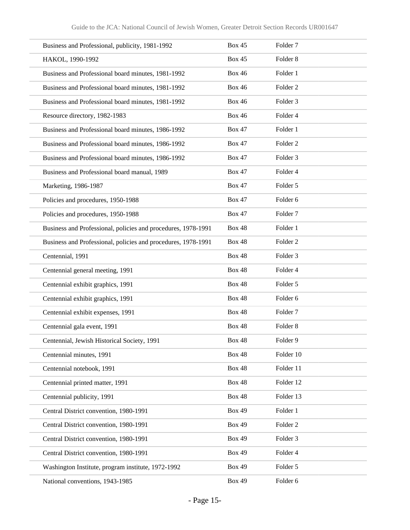| Business and Professional, publicity, 1981-1992               | <b>Box 45</b> | Folder <sub>7</sub> |
|---------------------------------------------------------------|---------------|---------------------|
| HAKOL, 1990-1992                                              | <b>Box 45</b> | Folder <sub>8</sub> |
| Business and Professional board minutes, 1981-1992            | <b>Box 46</b> | Folder 1            |
| Business and Professional board minutes, 1981-1992            | <b>Box 46</b> | Folder <sub>2</sub> |
| Business and Professional board minutes, 1981-1992            | <b>Box 46</b> | Folder <sub>3</sub> |
| Resource directory, 1982-1983                                 | <b>Box 46</b> | Folder 4            |
| Business and Professional board minutes, 1986-1992            | <b>Box 47</b> | Folder 1            |
| Business and Professional board minutes, 1986-1992            | <b>Box 47</b> | Folder <sub>2</sub> |
| Business and Professional board minutes, 1986-1992            | <b>Box 47</b> | Folder <sub>3</sub> |
| Business and Professional board manual, 1989                  | <b>Box 47</b> | Folder 4            |
| Marketing, 1986-1987                                          | <b>Box 47</b> | Folder 5            |
| Policies and procedures, 1950-1988                            | <b>Box 47</b> | Folder 6            |
| Policies and procedures, 1950-1988                            | <b>Box 47</b> | Folder <sub>7</sub> |
| Business and Professional, policies and procedures, 1978-1991 | <b>Box 48</b> | Folder 1            |
| Business and Professional, policies and procedures, 1978-1991 | <b>Box 48</b> | Folder <sub>2</sub> |
| Centennial, 1991                                              | <b>Box 48</b> | Folder <sub>3</sub> |
| Centennial general meeting, 1991                              | <b>Box 48</b> | Folder 4            |
| Centennial exhibit graphics, 1991                             | <b>Box 48</b> | Folder 5            |
| Centennial exhibit graphics, 1991                             | <b>Box 48</b> | Folder <sub>6</sub> |
| Centennial exhibit expenses, 1991                             | <b>Box 48</b> | Folder <sub>7</sub> |
| Centennial gala event, 1991                                   | <b>Box 48</b> | Folder <sub>8</sub> |
| Centennial, Jewish Historical Society, 1991                   | <b>Box 48</b> | Folder 9            |
| Centennial minutes, 1991                                      | <b>Box 48</b> | Folder 10           |
| Centennial notebook, 1991                                     | <b>Box 48</b> | Folder 11           |
| Centennial printed matter, 1991                               | <b>Box 48</b> | Folder 12           |
| Centennial publicity, 1991                                    | <b>Box 48</b> | Folder 13           |
| Central District convention, 1980-1991                        | <b>Box 49</b> | Folder 1            |
| Central District convention, 1980-1991                        | <b>Box 49</b> | Folder <sub>2</sub> |
| Central District convention, 1980-1991                        | <b>Box 49</b> | Folder 3            |
| Central District convention, 1980-1991                        | <b>Box 49</b> | Folder 4            |
| Washington Institute, program institute, 1972-1992            | <b>Box 49</b> | Folder 5            |
| National conventions, 1943-1985                               | <b>Box 49</b> | Folder 6            |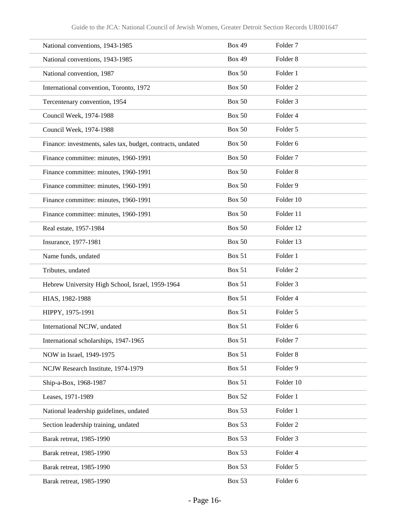| National conventions, 1943-1985                             | <b>Box 49</b> | Folder <sub>7</sub> |
|-------------------------------------------------------------|---------------|---------------------|
| National conventions, 1943-1985                             | <b>Box 49</b> | Folder <sub>8</sub> |
| National convention, 1987                                   | <b>Box 50</b> | Folder 1            |
| International convention, Toronto, 1972                     | <b>Box 50</b> | Folder <sub>2</sub> |
| Tercentenary convention, 1954                               | <b>Box 50</b> | Folder 3            |
| Council Week, 1974-1988                                     | <b>Box 50</b> | Folder 4            |
| Council Week, 1974-1988                                     | <b>Box 50</b> | Folder 5            |
| Finance: investments, sales tax, budget, contracts, undated | <b>Box 50</b> | Folder <sub>6</sub> |
| Finance committee: minutes, 1960-1991                       | <b>Box 50</b> | Folder <sub>7</sub> |
| Finance committee: minutes, 1960-1991                       | <b>Box 50</b> | Folder <sub>8</sub> |
| Finance committee: minutes, 1960-1991                       | <b>Box 50</b> | Folder 9            |
| Finance committee: minutes, 1960-1991                       | <b>Box 50</b> | Folder 10           |
| Finance committee: minutes, 1960-1991                       | <b>Box 50</b> | Folder 11           |
| Real estate, 1957-1984                                      | <b>Box 50</b> | Folder 12           |
| Insurance, 1977-1981                                        | <b>Box 50</b> | Folder 13           |
| Name funds, undated                                         | <b>Box 51</b> | Folder 1            |
| Tributes, undated                                           | <b>Box 51</b> | Folder <sub>2</sub> |
| Hebrew University High School, Israel, 1959-1964            | <b>Box 51</b> | Folder <sub>3</sub> |
| HIAS, 1982-1988                                             | <b>Box 51</b> | Folder <sub>4</sub> |
| HIPPY, 1975-1991                                            | <b>Box 51</b> | Folder 5            |
| International NCJW, undated                                 | <b>Box 51</b> | Folder 6            |
| International scholarships, 1947-1965                       | <b>Box 51</b> | Folder <sub>7</sub> |
| NOW in Israel, 1949-1975                                    | <b>Box 51</b> | Folder 8            |
| NCJW Research Institute, 1974-1979                          | <b>Box 51</b> | Folder 9            |
| Ship-a-Box, 1968-1987                                       | <b>Box 51</b> | Folder 10           |
| Leases, 1971-1989                                           | <b>Box 52</b> | Folder 1            |
| National leadership guidelines, undated                     | <b>Box 53</b> | Folder 1            |
| Section leadership training, undated                        | <b>Box 53</b> | Folder <sub>2</sub> |
| Barak retreat, 1985-1990                                    | <b>Box 53</b> | Folder 3            |
| Barak retreat, 1985-1990                                    | <b>Box 53</b> | Folder 4            |
| Barak retreat, 1985-1990                                    | <b>Box 53</b> | Folder 5            |
| Barak retreat, 1985-1990                                    | <b>Box 53</b> | Folder 6            |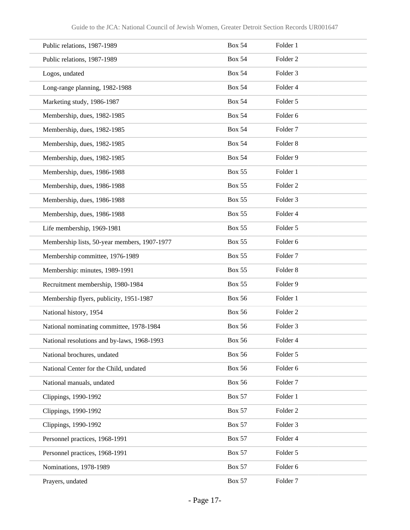| Public relations, 1987-1989                  | <b>Box 54</b> | Folder 1            |
|----------------------------------------------|---------------|---------------------|
| Public relations, 1987-1989                  | <b>Box 54</b> | Folder <sub>2</sub> |
| Logos, undated                               | <b>Box 54</b> | Folder 3            |
| Long-range planning, 1982-1988               | <b>Box 54</b> | Folder 4            |
| Marketing study, 1986-1987                   | <b>Box 54</b> | Folder 5            |
| Membership, dues, 1982-1985                  | <b>Box 54</b> | Folder <sub>6</sub> |
| Membership, dues, 1982-1985                  | <b>Box 54</b> | Folder <sub>7</sub> |
| Membership, dues, 1982-1985                  | <b>Box 54</b> | Folder <sub>8</sub> |
| Membership, dues, 1982-1985                  | <b>Box 54</b> | Folder 9            |
| Membership, dues, 1986-1988                  | <b>Box 55</b> | Folder 1            |
| Membership, dues, 1986-1988                  | <b>Box 55</b> | Folder <sub>2</sub> |
| Membership, dues, 1986-1988                  | <b>Box 55</b> | Folder 3            |
| Membership, dues, 1986-1988                  | <b>Box 55</b> | Folder 4            |
| Life membership, 1969-1981                   | <b>Box 55</b> | Folder 5            |
| Membership lists, 50-year members, 1907-1977 | <b>Box 55</b> | Folder 6            |
| Membership committee, 1976-1989              | <b>Box 55</b> | Folder <sub>7</sub> |
| Membership: minutes, 1989-1991               | <b>Box 55</b> | Folder <sub>8</sub> |
| Recruitment membership, 1980-1984            | <b>Box 55</b> | Folder 9            |
| Membership flyers, publicity, 1951-1987      | <b>Box 56</b> | Folder 1            |
| National history, 1954                       | <b>Box 56</b> | Folder <sub>2</sub> |
| National nominating committee, 1978-1984     | <b>Box 56</b> | Folder 3            |
| National resolutions and by-laws, 1968-1993  | <b>Box 56</b> | Folder 4            |
| National brochures, undated                  | <b>Box 56</b> | Folder 5            |
| National Center for the Child, undated       | <b>Box 56</b> | Folder 6            |
| National manuals, undated                    | <b>Box 56</b> | Folder <sub>7</sub> |
| Clippings, 1990-1992                         | <b>Box 57</b> | Folder 1            |
| Clippings, 1990-1992                         | <b>Box 57</b> | Folder 2            |
| Clippings, 1990-1992                         | <b>Box 57</b> | Folder 3            |
| Personnel practices, 1968-1991               | <b>Box 57</b> | Folder 4            |
| Personnel practices, 1968-1991               | <b>Box 57</b> | Folder 5            |
| Nominations, 1978-1989                       | <b>Box 57</b> | Folder 6            |
| Prayers, undated                             | <b>Box 57</b> | Folder 7            |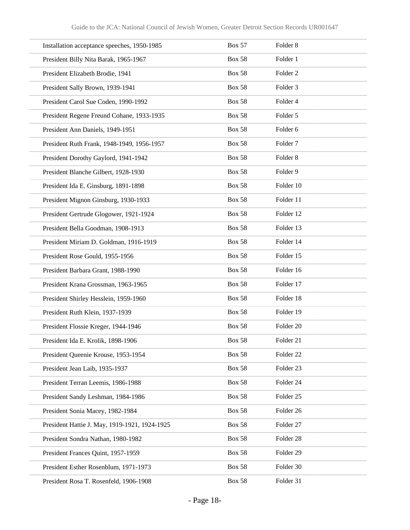| Installation acceptance speeches, 1950-1985   | <b>Box 57</b> | Folder <sub>8</sub>  |
|-----------------------------------------------|---------------|----------------------|
| President Billy Nita Barak, 1965-1967         | <b>Box 58</b> | Folder 1             |
| President Elizabeth Brodie, 1941              | <b>Box 58</b> | Folder <sub>2</sub>  |
| President Sally Brown, 1939-1941              | <b>Box 58</b> | Folder <sub>3</sub>  |
| President Carol Sue Coden, 1990-1992          | <b>Box 58</b> | Folder 4             |
| President Regene Freund Cohane, 1933-1935     | <b>Box 58</b> | Folder 5             |
| President Ann Daniels, 1949-1951              | <b>Box 58</b> | Folder 6             |
| President Ruth Frank, 1948-1949, 1956-1957    | <b>Box 58</b> | Folder <sub>7</sub>  |
| President Dorothy Gaylord, 1941-1942          | <b>Box 58</b> | Folder <sub>8</sub>  |
| President Blanche Gilbert, 1928-1930          | <b>Box 58</b> | Folder 9             |
| President Ida E. Ginsburg, 1891-1898          | <b>Box 58</b> | Folder 10            |
| President Mignon Ginsburg, 1930-1933          | <b>Box 58</b> | Folder 11            |
| President Gertrude Glogower, 1921-1924        | <b>Box 58</b> | Folder 12            |
| President Bella Goodman, 1908-1913            | <b>Box 58</b> | Folder 13            |
| President Miriam D. Goldman, 1916-1919        | <b>Box 58</b> | Folder 14            |
| President Rose Gould, 1955-1956               | <b>Box 58</b> | Folder 15            |
| President Barbara Grant, 1988-1990            | <b>Box 58</b> | Folder 16            |
| President Krana Grossman, 1963-1965           | <b>Box 58</b> | Folder 17            |
| President Shirley Hesslein, 1959-1960         | <b>Box 58</b> | Folder 18            |
| President Ruth Klein, 1937-1939               | <b>Box 58</b> | Folder 19            |
| President Flossie Kreger, 1944-1946           | <b>Box 58</b> | Folder 20            |
| President Ida E. Krolik, 1898-1906            | <b>Box 58</b> | Folder 21            |
| President Queenie Krouse, 1953-1954           | <b>Box 58</b> | Folder <sub>22</sub> |
| President Jean Laib, 1935-1937                | <b>Box 58</b> | Folder 23            |
| President Terran Leemis, 1986-1988            | <b>Box 58</b> | Folder 24            |
| President Sandy Leshman, 1984-1986            | <b>Box 58</b> | Folder <sub>25</sub> |
| President Sonia Macey, 1982-1984              | <b>Box 58</b> | Folder 26            |
| President Hattie J. May, 1919-1921, 1924-1925 | <b>Box 58</b> | Folder 27            |
| President Sondra Nathan, 1980-1982            | <b>Box 58</b> | Folder 28            |
| President Frances Quint, 1957-1959            | <b>Box 58</b> | Folder 29            |
| President Esther Rosenblum, 1971-1973         | <b>Box 58</b> | Folder 30            |
| President Rosa T. Rosenfeld, 1906-1908        | <b>Box 58</b> | Folder 31            |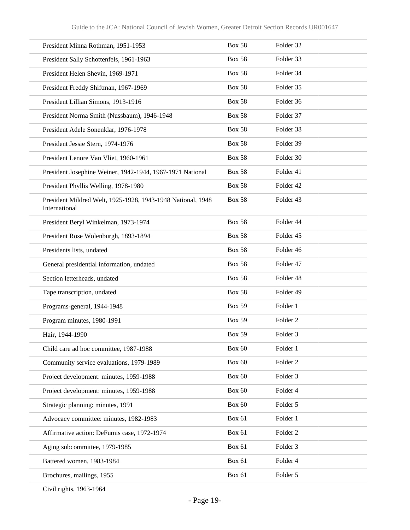| President Minna Rothman, 1951-1953                                           | <b>Box 58</b> | Folder 32           |
|------------------------------------------------------------------------------|---------------|---------------------|
| President Sally Schottenfels, 1961-1963                                      | <b>Box 58</b> | Folder 33           |
| President Helen Shevin, 1969-1971                                            | <b>Box 58</b> | Folder 34           |
| President Freddy Shiftman, 1967-1969                                         | <b>Box 58</b> | Folder 35           |
| President Lillian Simons, 1913-1916                                          | <b>Box 58</b> | Folder 36           |
| President Norma Smith (Nussbaum), 1946-1948                                  | <b>Box 58</b> | Folder 37           |
| President Adele Sonenklar, 1976-1978                                         | <b>Box 58</b> | Folder 38           |
| President Jessie Stern, 1974-1976                                            | <b>Box 58</b> | Folder 39           |
| President Lenore Van Vliet, 1960-1961                                        | <b>Box 58</b> | Folder 30           |
| President Josephine Weiner, 1942-1944, 1967-1971 National                    | <b>Box 58</b> | Folder 41           |
| President Phyllis Welling, 1978-1980                                         | <b>Box 58</b> | Folder 42           |
| President Mildred Welt, 1925-1928, 1943-1948 National, 1948<br>International | <b>Box 58</b> | Folder 43           |
| President Beryl Winkelman, 1973-1974                                         | <b>Box 58</b> | Folder 44           |
| President Rose Wolenburgh, 1893-1894                                         | <b>Box 58</b> | Folder 45           |
| Presidents lists, undated                                                    | <b>Box 58</b> | Folder 46           |
| General presidential information, undated                                    | <b>Box 58</b> | Folder 47           |
| Section letterheads, undated                                                 | <b>Box 58</b> | Folder 48           |
| Tape transcription, undated                                                  | <b>Box 58</b> | Folder 49           |
| Programs-general, 1944-1948                                                  | <b>Box 59</b> | Folder 1            |
| Program minutes, 1980-1991                                                   | <b>Box 59</b> | Folder <sub>2</sub> |
| Hair, 1944-1990                                                              | <b>Box 59</b> | Folder <sub>3</sub> |
| Child care ad hoc committee, 1987-1988                                       | <b>Box 60</b> | Folder 1            |
| Community service evaluations, 1979-1989                                     | <b>Box 60</b> | Folder <sub>2</sub> |
| Project development: minutes, 1959-1988                                      | <b>Box 60</b> | Folder 3            |
| Project development: minutes, 1959-1988                                      | <b>Box 60</b> | Folder 4            |
| Strategic planning: minutes, 1991                                            | <b>Box 60</b> | Folder 5            |
| Advocacy committee: minutes, 1982-1983                                       | <b>Box 61</b> | Folder 1            |
| Affirmative action: DeFumis case, 1972-1974                                  | Box 61        | Folder <sub>2</sub> |
| Aging subcommittee, 1979-1985                                                | <b>Box 61</b> | Folder 3            |
| Battered women, 1983-1984                                                    | Box 61        | Folder 4            |
| Brochures, mailings, 1955                                                    | <b>Box 61</b> | Folder 5            |

Civil rights, 1963-1964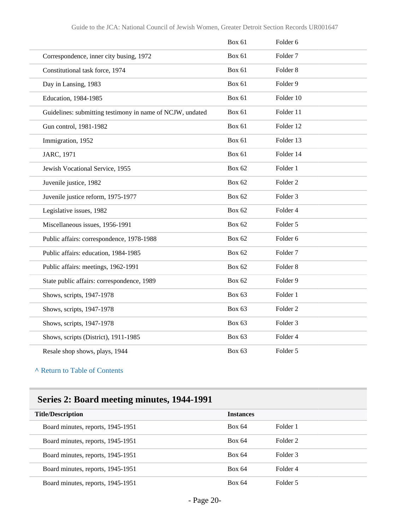|                                                           | <b>Box 61</b> | Folder <sub>6</sub> |
|-----------------------------------------------------------|---------------|---------------------|
| Correspondence, inner city busing, 1972                   | Box 61        | Folder <sub>7</sub> |
| Constitutional task force, 1974                           | <b>Box 61</b> | Folder <sub>8</sub> |
| Day in Lansing, 1983                                      | <b>Box 61</b> | Folder <sub>9</sub> |
| Education, 1984-1985                                      | <b>Box 61</b> | Folder 10           |
| Guidelines: submitting testimony in name of NCJW, undated | <b>Box 61</b> | Folder 11           |
| Gun control, 1981-1982                                    | <b>Box 61</b> | Folder 12           |
| Immigration, 1952                                         | <b>Box 61</b> | Folder 13           |
| JARC, 1971                                                | <b>Box 61</b> | Folder 14           |
| Jewish Vocational Service, 1955                           | <b>Box 62</b> | Folder 1            |
| Juvenile justice, 1982                                    | <b>Box 62</b> | Folder <sub>2</sub> |
| Juvenile justice reform, 1975-1977                        | <b>Box 62</b> | Folder <sub>3</sub> |
| Legislative issues, 1982                                  | <b>Box 62</b> | Folder 4            |
| Miscellaneous issues, 1956-1991                           | <b>Box 62</b> | Folder 5            |
| Public affairs: correspondence, 1978-1988                 | <b>Box 62</b> | Folder <sub>6</sub> |
| Public affairs: education, 1984-1985                      | <b>Box 62</b> | Folder <sub>7</sub> |
| Public affairs: meetings, 1962-1991                       | <b>Box 62</b> | Folder <sub>8</sub> |
| State public affairs: correspondence, 1989                | <b>Box 62</b> | Folder 9            |
| Shows, scripts, 1947-1978                                 | <b>Box 63</b> | Folder 1            |
| Shows, scripts, 1947-1978                                 | Box 63        | Folder <sub>2</sub> |
| Shows, scripts, 1947-1978                                 | <b>Box 63</b> | Folder <sub>3</sub> |
| Shows, scripts (District), 1911-1985                      | <b>Box 63</b> | Folder 4            |
| Resale shop shows, plays, 1944                            | <b>Box 63</b> | Folder 5            |

## **Series 2: Board meeting minutes, 1944-1991**

| <b>Title/Description</b>          | <b>Instances</b> |          |  |
|-----------------------------------|------------------|----------|--|
| Board minutes, reports, 1945-1951 | <b>Box 64</b>    | Folder 1 |  |
| Board minutes, reports, 1945-1951 | Box 64           | Folder 2 |  |
| Board minutes, reports, 1945-1951 | <b>Box 64</b>    | Folder 3 |  |
| Board minutes, reports, 1945-1951 | Box 64           | Folder 4 |  |
| Board minutes, reports, 1945-1951 | Box 64           | Folder 5 |  |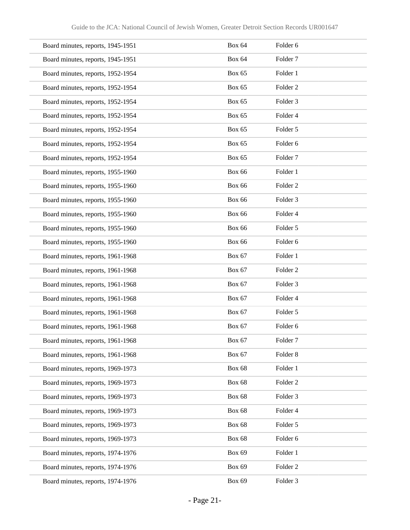| Board minutes, reports, 1945-1951 | <b>Box 64</b> | Folder 6            |
|-----------------------------------|---------------|---------------------|
| Board minutes, reports, 1945-1951 | <b>Box 64</b> | Folder <sub>7</sub> |
| Board minutes, reports, 1952-1954 | <b>Box 65</b> | Folder 1            |
| Board minutes, reports, 1952-1954 | <b>Box 65</b> | Folder <sub>2</sub> |
| Board minutes, reports, 1952-1954 | <b>Box 65</b> | Folder 3            |
| Board minutes, reports, 1952-1954 | <b>Box 65</b> | Folder 4            |
| Board minutes, reports, 1952-1954 | <b>Box 65</b> | Folder 5            |
| Board minutes, reports, 1952-1954 | <b>Box 65</b> | Folder <sub>6</sub> |
| Board minutes, reports, 1952-1954 | <b>Box 65</b> | Folder <sub>7</sub> |
| Board minutes, reports, 1955-1960 | <b>Box 66</b> | Folder 1            |
| Board minutes, reports, 1955-1960 | <b>Box 66</b> | Folder <sub>2</sub> |
| Board minutes, reports, 1955-1960 | <b>Box 66</b> | Folder <sub>3</sub> |
| Board minutes, reports, 1955-1960 | <b>Box 66</b> | Folder 4            |
| Board minutes, reports, 1955-1960 | <b>Box 66</b> | Folder 5            |
| Board minutes, reports, 1955-1960 | <b>Box 66</b> | Folder 6            |
| Board minutes, reports, 1961-1968 | <b>Box 67</b> | Folder 1            |
| Board minutes, reports, 1961-1968 | <b>Box 67</b> | Folder <sub>2</sub> |
| Board minutes, reports, 1961-1968 | <b>Box 67</b> | Folder <sub>3</sub> |
| Board minutes, reports, 1961-1968 | <b>Box 67</b> | Folder 4            |
| Board minutes, reports, 1961-1968 | <b>Box 67</b> | Folder 5            |
| Board minutes, reports, 1961-1968 | <b>Box 67</b> | Folder 6            |
| Board minutes, reports, 1961-1968 | <b>Box 67</b> | Folder <sub>7</sub> |
| Board minutes, reports, 1961-1968 | <b>Box 67</b> | Folder 8            |
| Board minutes, reports, 1969-1973 | <b>Box 68</b> | Folder 1            |
| Board minutes, reports, 1969-1973 | <b>Box 68</b> | Folder <sub>2</sub> |
| Board minutes, reports, 1969-1973 | <b>Box 68</b> | Folder 3            |
| Board minutes, reports, 1969-1973 | <b>Box 68</b> | Folder 4            |
| Board minutes, reports, 1969-1973 | <b>Box 68</b> | Folder 5            |
| Board minutes, reports, 1969-1973 | <b>Box 68</b> | Folder 6            |
| Board minutes, reports, 1974-1976 | <b>Box 69</b> | Folder 1            |
| Board minutes, reports, 1974-1976 | <b>Box 69</b> | Folder <sub>2</sub> |
| Board minutes, reports, 1974-1976 | <b>Box 69</b> | Folder 3            |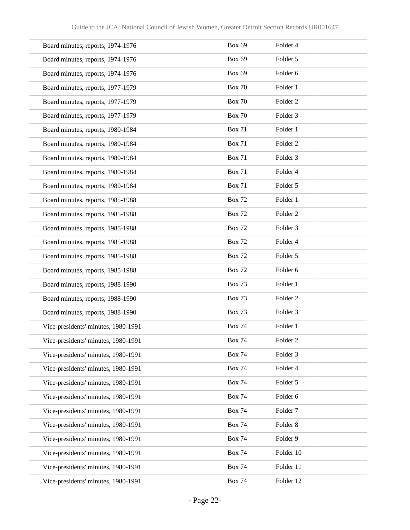| Board minutes, reports, 1974-1976   | <b>Box 69</b> | Folder 4            |
|-------------------------------------|---------------|---------------------|
| Board minutes, reports, 1974-1976   | <b>Box 69</b> | Folder 5            |
| Board minutes, reports, 1974-1976   | <b>Box 69</b> | Folder 6            |
| Board minutes, reports, 1977-1979   | <b>Box 70</b> | Folder 1            |
| Board minutes, reports, 1977-1979   | <b>Box 70</b> | Folder <sub>2</sub> |
| Board minutes, reports, 1977-1979   | <b>Box 70</b> | Folder <sub>3</sub> |
| Board minutes, reports, 1980-1984   | <b>Box 71</b> | Folder 1            |
| Board minutes, reports, 1980-1984   | <b>Box 71</b> | Folder <sub>2</sub> |
| Board minutes, reports, 1980-1984   | <b>Box 71</b> | Folder 3            |
| Board minutes, reports, 1980-1984   | <b>Box 71</b> | Folder 4            |
| Board minutes, reports, 1980-1984   | <b>Box 71</b> | Folder 5            |
| Board minutes, reports, 1985-1988   | <b>Box 72</b> | Folder 1            |
| Board minutes, reports, 1985-1988   | <b>Box 72</b> | Folder <sub>2</sub> |
| Board minutes, reports, 1985-1988   | <b>Box 72</b> | Folder <sub>3</sub> |
| Board minutes, reports, 1985-1988   | <b>Box 72</b> | Folder 4            |
| Board minutes, reports, 1985-1988   | <b>Box 72</b> | Folder 5            |
| Board minutes, reports, 1985-1988   | <b>Box 72</b> | Folder 6            |
| Board minutes, reports, 1988-1990   | <b>Box 73</b> | Folder 1            |
| Board minutes, reports, 1988-1990   | <b>Box 73</b> | Folder <sub>2</sub> |
| Board minutes, reports, 1988-1990   | <b>Box 73</b> | Folder <sub>3</sub> |
| Vice-presidents' minutes, 1980-1991 | <b>Box 74</b> | Folder 1            |
| Vice-presidents' minutes, 1980-1991 | <b>Box 74</b> | Folder <sub>2</sub> |
| Vice-presidents' minutes, 1980-1991 | <b>Box 74</b> | Folder 3            |
| Vice-presidents' minutes, 1980-1991 | <b>Box 74</b> | Folder 4            |
| Vice-presidents' minutes, 1980-1991 | <b>Box 74</b> | Folder 5            |
| Vice-presidents' minutes, 1980-1991 | <b>Box 74</b> | Folder 6            |
| Vice-presidents' minutes, 1980-1991 | <b>Box 74</b> | Folder <sub>7</sub> |
| Vice-presidents' minutes, 1980-1991 | <b>Box 74</b> | Folder 8            |
| Vice-presidents' minutes, 1980-1991 | <b>Box 74</b> | Folder 9            |
| Vice-presidents' minutes, 1980-1991 | <b>Box 74</b> | Folder 10           |
| Vice-presidents' minutes, 1980-1991 | <b>Box 74</b> | Folder 11           |
| Vice-presidents' minutes, 1980-1991 | <b>Box 74</b> | Folder 12           |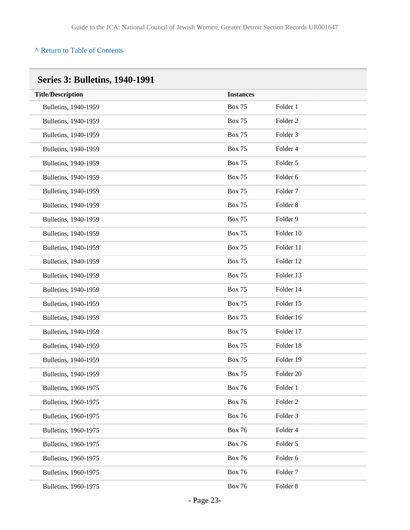| <b>Title/Description</b> | <b>Instances</b> |                     |
|--------------------------|------------------|---------------------|
| Bulletins, 1940-1959     | <b>Box 75</b>    | Folder 1            |
| Bulletins, 1940-1959     | <b>Box 75</b>    | Folder <sub>2</sub> |
| Bulletins, 1940-1959     | <b>Box 75</b>    | Folder 3            |
| Bulletins, 1940-1959     | <b>Box 75</b>    | Folder 4            |
| Bulletins, 1940-1959     | <b>Box 75</b>    | Folder 5            |
| Bulletins, 1940-1959     | <b>Box 75</b>    | Folder 6            |
| Bulletins, 1940-1959     | <b>Box 75</b>    | Folder <sub>7</sub> |
| Bulletins, 1940-1959     | <b>Box 75</b>    | Folder <sub>8</sub> |
| Bulletins, 1940-1959     | <b>Box 75</b>    | Folder 9            |
| Bulletins, 1940-1959     | <b>Box 75</b>    | Folder 10           |
| Bulletins, 1940-1959     | <b>Box 75</b>    | Folder 11           |
| Bulletins, 1940-1959     | <b>Box 75</b>    | Folder 12           |
| Bulletins, 1940-1959     | <b>Box 75</b>    | Folder 13           |
| Bulletins, 1940-1959     | <b>Box 75</b>    | Folder 14           |
| Bulletins, 1940-1959     | <b>Box 75</b>    | Folder 15           |
| Bulletins, 1940-1959     | <b>Box 75</b>    | Folder 16           |
| Bulletins, 1940-1959     | <b>Box 75</b>    | Folder 17           |
| Bulletins, 1940-1959     | <b>Box 75</b>    | Folder 18           |
| Bulletins, 1940-1959     | <b>Box 75</b>    | Folder 19           |
| Bulletins, 1940-1959     | <b>Box 75</b>    | Folder 20           |
| Bulletins, 1960-1975     | <b>Box 76</b>    | Folder 1            |
| Bulletins, 1960-1975     | <b>Box 76</b>    | Folder <sub>2</sub> |
| Bulletins, 1960-1975     | <b>Box 76</b>    | Folder 3            |
| Bulletins, 1960-1975     | <b>Box 76</b>    | Folder 4            |
| Bulletins, 1960-1975     | <b>Box 76</b>    | Folder 5            |
| Bulletins, 1960-1975     | <b>Box 76</b>    | Folder 6            |
| Bulletins, 1960-1975     | <b>Box 76</b>    | Folder <sub>7</sub> |
| Bulletins, 1960-1975     | <b>Box 76</b>    | Folder 8            |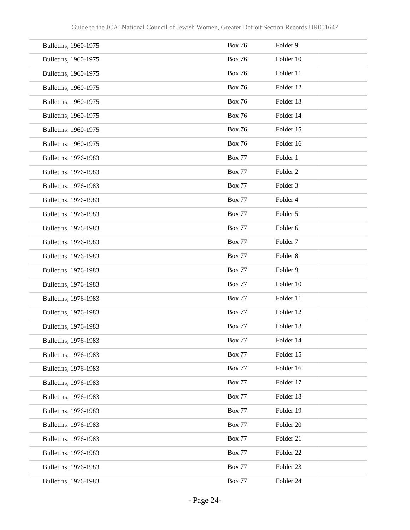| Bulletins, 1960-1975 | <b>Box 76</b> | Folder 9            |
|----------------------|---------------|---------------------|
| Bulletins, 1960-1975 | <b>Box 76</b> | Folder 10           |
| Bulletins, 1960-1975 | <b>Box 76</b> | Folder 11           |
| Bulletins, 1960-1975 | <b>Box 76</b> | Folder 12           |
| Bulletins, 1960-1975 | <b>Box 76</b> | Folder 13           |
| Bulletins, 1960-1975 | <b>Box 76</b> | Folder 14           |
| Bulletins, 1960-1975 | <b>Box 76</b> | Folder 15           |
| Bulletins, 1960-1975 | <b>Box 76</b> | Folder 16           |
| Bulletins, 1976-1983 | <b>Box 77</b> | Folder 1            |
| Bulletins, 1976-1983 | <b>Box 77</b> | Folder <sub>2</sub> |
| Bulletins, 1976-1983 | <b>Box 77</b> | Folder <sub>3</sub> |
| Bulletins, 1976-1983 | <b>Box 77</b> | Folder 4            |
| Bulletins, 1976-1983 | <b>Box 77</b> | Folder 5            |
| Bulletins, 1976-1983 | <b>Box 77</b> | Folder 6            |
| Bulletins, 1976-1983 | <b>Box 77</b> | Folder <sub>7</sub> |
| Bulletins, 1976-1983 | <b>Box 77</b> | Folder <sub>8</sub> |
| Bulletins, 1976-1983 | <b>Box 77</b> | Folder 9            |
| Bulletins, 1976-1983 | <b>Box 77</b> | Folder 10           |
| Bulletins, 1976-1983 | <b>Box 77</b> | Folder 11           |
| Bulletins, 1976-1983 | <b>Box 77</b> | Folder 12           |
| Bulletins, 1976-1983 | <b>Box 77</b> | Folder 13           |
| Bulletins, 1976-1983 | <b>Box 77</b> | Folder 14           |
| Bulletins, 1976-1983 | <b>Box 77</b> | Folder 15           |
| Bulletins, 1976-1983 | <b>Box 77</b> | Folder 16           |
| Bulletins, 1976-1983 | <b>Box 77</b> | Folder 17           |
| Bulletins, 1976-1983 | <b>Box 77</b> | Folder 18           |
| Bulletins, 1976-1983 | <b>Box 77</b> | Folder 19           |
| Bulletins, 1976-1983 | <b>Box 77</b> | Folder 20           |
| Bulletins, 1976-1983 | <b>Box 77</b> | Folder 21           |
| Bulletins, 1976-1983 | <b>Box 77</b> | Folder 22           |
| Bulletins, 1976-1983 | <b>Box 77</b> | Folder 23           |
| Bulletins, 1976-1983 | <b>Box 77</b> | Folder 24           |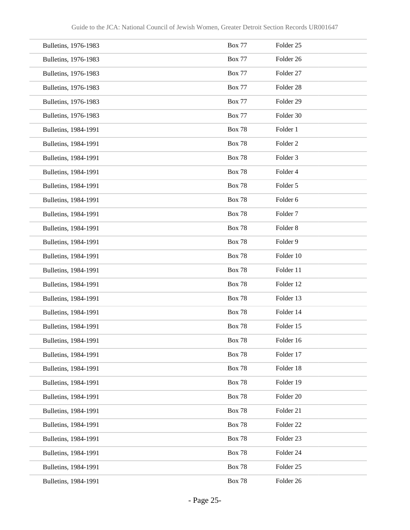| Bulletins, 1976-1983 | <b>Box 77</b> | Folder <sub>25</sub> |
|----------------------|---------------|----------------------|
| Bulletins, 1976-1983 | <b>Box 77</b> | Folder 26            |
| Bulletins, 1976-1983 | <b>Box 77</b> | Folder 27            |
| Bulletins, 1976-1983 | <b>Box 77</b> | Folder <sub>28</sub> |
| Bulletins, 1976-1983 | <b>Box 77</b> | Folder <sub>29</sub> |
| Bulletins, 1976-1983 | <b>Box 77</b> | Folder 30            |
| Bulletins, 1984-1991 | <b>Box 78</b> | Folder 1             |
| Bulletins, 1984-1991 | <b>Box 78</b> | Folder <sub>2</sub>  |
| Bulletins, 1984-1991 | <b>Box 78</b> | Folder 3             |
| Bulletins, 1984-1991 | <b>Box 78</b> | Folder 4             |
| Bulletins, 1984-1991 | <b>Box 78</b> | Folder 5             |
| Bulletins, 1984-1991 | <b>Box 78</b> | Folder 6             |
| Bulletins, 1984-1991 | <b>Box 78</b> | Folder <sub>7</sub>  |
| Bulletins, 1984-1991 | <b>Box 78</b> | Folder <sub>8</sub>  |
| Bulletins, 1984-1991 | <b>Box 78</b> | Folder 9             |
| Bulletins, 1984-1991 | <b>Box 78</b> | Folder 10            |
| Bulletins, 1984-1991 | <b>Box 78</b> | Folder 11            |
| Bulletins, 1984-1991 | <b>Box 78</b> | Folder 12            |
| Bulletins, 1984-1991 | <b>Box 78</b> | Folder 13            |
| Bulletins, 1984-1991 | <b>Box 78</b> | Folder 14            |
| Bulletins, 1984-1991 | <b>Box 78</b> | Folder 15            |
| Bulletins, 1984-1991 | <b>Box 78</b> | Folder 16            |
| Bulletins, 1984-1991 | <b>Box 78</b> | Folder 17            |
| Bulletins, 1984-1991 | <b>Box 78</b> | Folder 18            |
| Bulletins, 1984-1991 | <b>Box 78</b> | Folder 19            |
| Bulletins, 1984-1991 | <b>Box 78</b> | Folder 20            |
| Bulletins, 1984-1991 | <b>Box 78</b> | Folder 21            |
| Bulletins, 1984-1991 | <b>Box 78</b> | Folder 22            |
| Bulletins, 1984-1991 | <b>Box 78</b> | Folder 23            |
| Bulletins, 1984-1991 | <b>Box 78</b> | Folder 24            |
| Bulletins, 1984-1991 | <b>Box 78</b> | Folder 25            |
| Bulletins, 1984-1991 | <b>Box 78</b> | Folder 26            |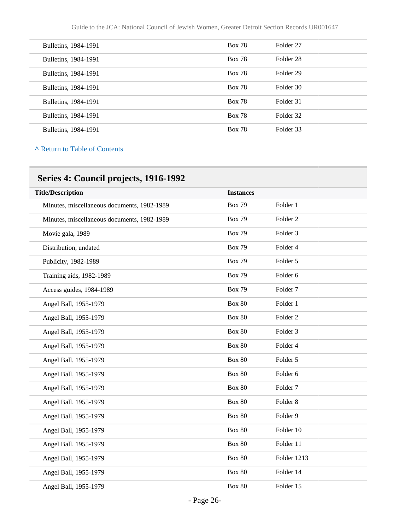| Bulletins, 1984-1991 | <b>Box 78</b> | Folder 27 |
|----------------------|---------------|-----------|
| Bulletins, 1984-1991 | <b>Box 78</b> | Folder 28 |
| Bulletins, 1984-1991 | <b>Box 78</b> | Folder 29 |
| Bulletins, 1984-1991 | <b>Box 78</b> | Folder 30 |
| Bulletins, 1984-1991 | <b>Box 78</b> | Folder 31 |
| Bulletins, 1984-1991 | <b>Box 78</b> | Folder 32 |
| Bulletins, 1984-1991 | <b>Box 78</b> | Folder 33 |
|                      |               |           |

## **Series 4: Council projects, 1916-1992**

| <b>Title/Description</b>                    | <b>Instances</b> |                     |
|---------------------------------------------|------------------|---------------------|
| Minutes, miscellaneous documents, 1982-1989 | <b>Box 79</b>    | Folder 1            |
| Minutes, miscellaneous documents, 1982-1989 | <b>Box 79</b>    | Folder <sub>2</sub> |
| Movie gala, 1989                            | <b>Box 79</b>    | Folder 3            |
| Distribution, undated                       | <b>Box 79</b>    | Folder 4            |
| Publicity, 1982-1989                        | <b>Box 79</b>    | Folder 5            |
| Training aids, 1982-1989                    | <b>Box 79</b>    | Folder 6            |
| Access guides, 1984-1989                    | <b>Box 79</b>    | Folder <sub>7</sub> |
| Angel Ball, 1955-1979                       | <b>Box 80</b>    | Folder 1            |
| Angel Ball, 1955-1979                       | <b>Box 80</b>    | Folder <sub>2</sub> |
| Angel Ball, 1955-1979                       | <b>Box 80</b>    | Folder <sub>3</sub> |
| Angel Ball, 1955-1979                       | <b>Box 80</b>    | Folder <sub>4</sub> |
| Angel Ball, 1955-1979                       | <b>Box 80</b>    | Folder 5            |
| Angel Ball, 1955-1979                       | <b>Box 80</b>    | Folder 6            |
| Angel Ball, 1955-1979                       | <b>Box 80</b>    | Folder <sub>7</sub> |
| Angel Ball, 1955-1979                       | <b>Box 80</b>    | Folder <sub>8</sub> |
| Angel Ball, 1955-1979                       | <b>Box 80</b>    | Folder 9            |
| Angel Ball, 1955-1979                       | <b>Box 80</b>    | Folder 10           |
| Angel Ball, 1955-1979                       | <b>Box 80</b>    | Folder 11           |
| Angel Ball, 1955-1979                       | <b>Box 80</b>    | Folder 1213         |
| Angel Ball, 1955-1979                       | <b>Box 80</b>    | Folder 14           |
| Angel Ball, 1955-1979                       | <b>Box 80</b>    | Folder 15           |
|                                             |                  |                     |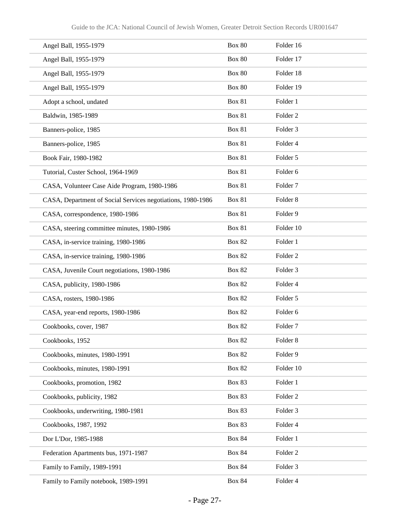| Angel Ball, 1955-1979                                       | <b>Box 80</b> | Folder 16           |
|-------------------------------------------------------------|---------------|---------------------|
| Angel Ball, 1955-1979                                       | <b>Box 80</b> | Folder 17           |
| Angel Ball, 1955-1979                                       | <b>Box 80</b> | Folder 18           |
| Angel Ball, 1955-1979                                       | <b>Box 80</b> | Folder 19           |
| Adopt a school, undated                                     | <b>Box 81</b> | Folder 1            |
| Baldwin, 1985-1989                                          | <b>Box 81</b> | Folder <sub>2</sub> |
| Banners-police, 1985                                        | <b>Box 81</b> | Folder 3            |
| Banners-police, 1985                                        | <b>Box 81</b> | Folder 4            |
| Book Fair, 1980-1982                                        | <b>Box 81</b> | Folder 5            |
| Tutorial, Custer School, 1964-1969                          | <b>Box 81</b> | Folder 6            |
| CASA, Volunteer Case Aide Program, 1980-1986                | <b>Box 81</b> | Folder <sub>7</sub> |
| CASA, Department of Social Services negotiations, 1980-1986 | <b>Box 81</b> | Folder <sub>8</sub> |
| CASA, correspondence, 1980-1986                             | <b>Box 81</b> | Folder 9            |
| CASA, steering committee minutes, 1980-1986                 | <b>Box 81</b> | Folder 10           |
| CASA, in-service training, 1980-1986                        | <b>Box 82</b> | Folder 1            |
| CASA, in-service training, 1980-1986                        | <b>Box 82</b> | Folder <sub>2</sub> |
| CASA, Juvenile Court negotiations, 1980-1986                | <b>Box 82</b> | Folder 3            |
| CASA, publicity, 1980-1986                                  | <b>Box 82</b> | Folder 4            |
| CASA, rosters, 1980-1986                                    | <b>Box 82</b> | Folder 5            |
| CASA, year-end reports, 1980-1986                           | <b>Box 82</b> | Folder 6            |
| Cookbooks, cover, 1987                                      | <b>Box 82</b> | Folder 7            |
| Cookbooks, 1952                                             | <b>Box 82</b> | Folder 8            |
| Cookbooks, minutes, 1980-1991                               | <b>Box 82</b> | Folder 9            |
| Cookbooks, minutes, 1980-1991                               | <b>Box 82</b> | Folder 10           |
| Cookbooks, promotion, 1982                                  | <b>Box 83</b> | Folder 1            |
| Cookbooks, publicity, 1982                                  | <b>Box 83</b> | Folder 2            |
| Cookbooks, underwriting, 1980-1981                          | <b>Box 83</b> | Folder 3            |
| Cookbooks, 1987, 1992                                       | <b>Box 83</b> | Folder 4            |
| Dor L'Dor, 1985-1988                                        | <b>Box 84</b> | Folder 1            |
| Federation Apartments bus, 1971-1987                        | <b>Box 84</b> | Folder 2            |
| Family to Family, 1989-1991                                 | <b>Box 84</b> | Folder 3            |
| Family to Family notebook, 1989-1991                        | <b>Box 84</b> | Folder 4            |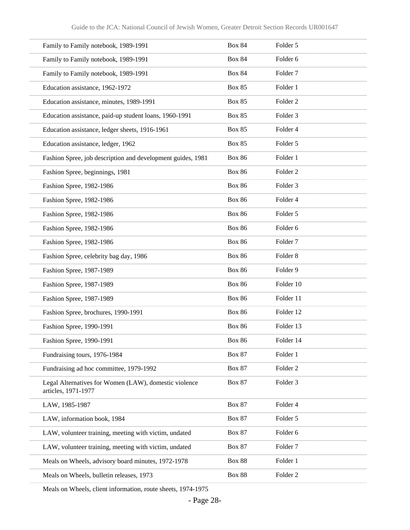| Family to Family notebook, 1989-1991                                         | <b>Box 84</b> | Folder 5            |
|------------------------------------------------------------------------------|---------------|---------------------|
| Family to Family notebook, 1989-1991                                         | <b>Box 84</b> | Folder 6            |
| Family to Family notebook, 1989-1991                                         | <b>Box 84</b> | Folder <sub>7</sub> |
| Education assistance, 1962-1972                                              | <b>Box 85</b> | Folder 1            |
| Education assistance, minutes, 1989-1991                                     | <b>Box 85</b> | Folder <sub>2</sub> |
| Education assistance, paid-up student loans, 1960-1991                       | <b>Box 85</b> | Folder <sub>3</sub> |
| Education assistance, ledger sheets, 1916-1961                               | <b>Box 85</b> | Folder 4            |
| Education assistance, ledger, 1962                                           | <b>Box 85</b> | Folder 5            |
| Fashion Spree, job description and development guides, 1981                  | <b>Box 86</b> | Folder 1            |
| Fashion Spree, beginnings, 1981                                              | <b>Box 86</b> | Folder <sub>2</sub> |
| Fashion Spree, 1982-1986                                                     | <b>Box 86</b> | Folder <sub>3</sub> |
| Fashion Spree, 1982-1986                                                     | <b>Box 86</b> | Folder 4            |
| Fashion Spree, 1982-1986                                                     | <b>Box 86</b> | Folder 5            |
| Fashion Spree, 1982-1986                                                     | <b>Box 86</b> | Folder <sub>6</sub> |
| Fashion Spree, 1982-1986                                                     | <b>Box 86</b> | Folder <sub>7</sub> |
| Fashion Spree, celebrity bag day, 1986                                       | <b>Box 86</b> | Folder <sub>8</sub> |
| Fashion Spree, 1987-1989                                                     | <b>Box 86</b> | Folder 9            |
| Fashion Spree, 1987-1989                                                     | <b>Box 86</b> | Folder 10           |
| Fashion Spree, 1987-1989                                                     | <b>Box 86</b> | Folder 11           |
| Fashion Spree, brochures, 1990-1991                                          | <b>Box 86</b> | Folder 12           |
| Fashion Spree, 1990-1991                                                     | <b>Box 86</b> | Folder 13           |
| Fashion Spree, 1990-1991                                                     | <b>Box 86</b> | Folder 14           |
| Fundraising tours, 1976-1984                                                 | <b>Box 87</b> | Folder 1            |
| Fundraising ad hoc committee, 1979-1992                                      | <b>Box 87</b> | Folder <sub>2</sub> |
| Legal Alternatives for Women (LAW), domestic violence<br>articles, 1971-1977 | <b>Box 87</b> | Folder 3            |
| LAW, 1985-1987                                                               | <b>Box 87</b> | Folder 4            |
| LAW, information book, 1984                                                  | <b>Box 87</b> | Folder 5            |
| LAW, volunteer training, meeting with victim, undated                        | <b>Box 87</b> | Folder 6            |
| LAW, volunteer training, meeting with victim, undated                        | <b>Box 87</b> | Folder <sub>7</sub> |
| Meals on Wheels, advisory board minutes, 1972-1978                           | <b>Box 88</b> | Folder 1            |
| Meals on Wheels, bulletin releases, 1973                                     | <b>Box 88</b> | Folder <sub>2</sub> |

Meals on Wheels, client information, route sheets, 1974-1975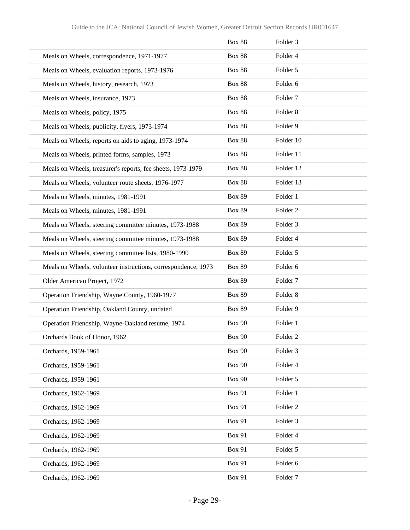|                                                               | <b>Box 88</b> | Folder 3            |
|---------------------------------------------------------------|---------------|---------------------|
| Meals on Wheels, correspondence, 1971-1977                    | <b>Box 88</b> | Folder 4            |
| Meals on Wheels, evaluation reports, 1973-1976                | <b>Box 88</b> | Folder 5            |
| Meals on Wheels, history, research, 1973                      | <b>Box 88</b> | Folder 6            |
| Meals on Wheels, insurance, 1973                              | <b>Box 88</b> | Folder <sub>7</sub> |
| Meals on Wheels, policy, 1975                                 | <b>Box 88</b> | Folder <sub>8</sub> |
| Meals on Wheels, publicity, flyers, 1973-1974                 | <b>Box 88</b> | Folder 9            |
| Meals on Wheels, reports on aids to aging, 1973-1974          | <b>Box 88</b> | Folder 10           |
| Meals on Wheels, printed forms, samples, 1973                 | <b>Box 88</b> | Folder 11           |
| Meals on Wheels, treasurer's reports, fee sheets, 1973-1979   | <b>Box 88</b> | Folder 12           |
| Meals on Wheels, volunteer route sheets, 1976-1977            | <b>Box 88</b> | Folder 13           |
| Meals on Wheels, minutes, 1981-1991                           | <b>Box 89</b> | Folder 1            |
| Meals on Wheels, minutes, 1981-1991                           | <b>Box 89</b> | Folder <sub>2</sub> |
| Meals on Wheels, steering committee minutes, 1973-1988        | <b>Box 89</b> | Folder 3            |
| Meals on Wheels, steering committee minutes, 1973-1988        | <b>Box 89</b> | Folder 4            |
| Meals on Wheels, steering committee lists, 1980-1990          | <b>Box 89</b> | Folder 5            |
| Meals on Wheels, volunteer instructions, correspondence, 1973 | <b>Box 89</b> | Folder <sub>6</sub> |
| Older American Project, 1972                                  | <b>Box 89</b> | Folder <sub>7</sub> |
| Operation Friendship, Wayne County, 1960-1977                 | <b>Box 89</b> | Folder <sub>8</sub> |
| Operation Friendship, Oakland County, undated                 | <b>Box 89</b> | Folder 9            |
| Operation Friendship, Wayne-Oakland resume, 1974              | <b>Box 90</b> | Folder 1            |
| Orchards Book of Honor, 1962                                  | <b>Box 90</b> | Folder <sub>2</sub> |
| Orchards, 1959-1961                                           | <b>Box 90</b> | Folder 3            |
| Orchards, 1959-1961                                           | <b>Box 90</b> | Folder 4            |
| Orchards, 1959-1961                                           | <b>Box 90</b> | Folder 5            |
| Orchards, 1962-1969                                           | <b>Box 91</b> | Folder 1            |
| Orchards, 1962-1969                                           | <b>Box 91</b> | Folder <sub>2</sub> |
| Orchards, 1962-1969                                           | <b>Box 91</b> | Folder 3            |
| Orchards, 1962-1969                                           | <b>Box 91</b> | Folder 4            |
| Orchards, 1962-1969                                           | <b>Box 91</b> | Folder 5            |
| Orchards, 1962-1969                                           | <b>Box 91</b> | Folder 6            |
| Orchards, 1962-1969                                           | <b>Box 91</b> | Folder <sub>7</sub> |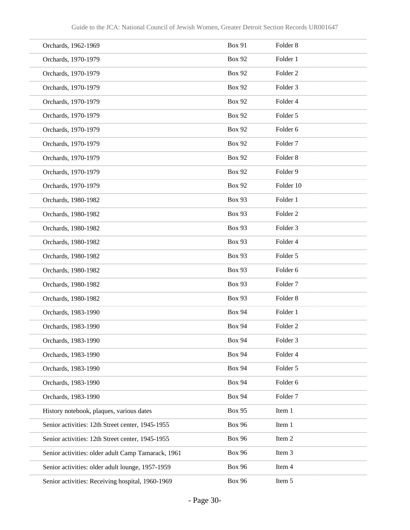| Orchards, 1962-1969                                | <b>Box 91</b> | Folder <sub>8</sub> |
|----------------------------------------------------|---------------|---------------------|
| Orchards, 1970-1979                                | <b>Box 92</b> | Folder 1            |
| Orchards, 1970-1979                                | <b>Box 92</b> | Folder <sub>2</sub> |
| Orchards, 1970-1979                                | <b>Box 92</b> | Folder <sub>3</sub> |
| Orchards, 1970-1979                                | <b>Box 92</b> | Folder 4            |
| Orchards, 1970-1979                                | <b>Box 92</b> | Folder 5            |
| Orchards, 1970-1979                                | <b>Box 92</b> | Folder 6            |
| Orchards, 1970-1979                                | <b>Box 92</b> | Folder <sub>7</sub> |
| Orchards, 1970-1979                                | <b>Box 92</b> | Folder <sub>8</sub> |
| Orchards, 1970-1979                                | <b>Box 92</b> | Folder 9            |
| Orchards, 1970-1979                                | <b>Box 92</b> | Folder 10           |
| Orchards, 1980-1982                                | <b>Box 93</b> | Folder 1            |
| Orchards, 1980-1982                                | <b>Box 93</b> | Folder <sub>2</sub> |
| Orchards, 1980-1982                                | <b>Box 93</b> | Folder <sub>3</sub> |
| Orchards, 1980-1982                                | <b>Box 93</b> | Folder 4            |
| Orchards, 1980-1982                                | <b>Box 93</b> | Folder 5            |
| Orchards, 1980-1982                                | <b>Box 93</b> | Folder 6            |
| Orchards, 1980-1982                                | <b>Box 93</b> | Folder <sub>7</sub> |
| Orchards, 1980-1982                                | <b>Box 93</b> | Folder <sub>8</sub> |
| Orchards, 1983-1990                                | <b>Box 94</b> | Folder 1            |
| Orchards, 1983-1990                                | <b>Box 94</b> | Folder <sub>2</sub> |
| Orchards, 1983-1990                                | <b>Box 94</b> | Folder 3            |
| Orchards, 1983-1990                                | <b>Box 94</b> | Folder 4            |
| Orchards, 1983-1990                                | <b>Box 94</b> | Folder 5            |
| Orchards, 1983-1990                                | <b>Box 94</b> | Folder 6            |
| Orchards, 1983-1990                                | <b>Box 94</b> | Folder <sub>7</sub> |
| History notebook, plaques, various dates           | <b>Box 95</b> | Item 1              |
| Senior activities: 12th Street center, 1945-1955   | <b>Box 96</b> | Item 1              |
| Senior activities: 12th Street center, 1945-1955   | <b>Box 96</b> | Item 2              |
| Senior activities: older adult Camp Tamarack, 1961 | <b>Box 96</b> | Item 3              |
| Senior activities: older adult lounge, 1957-1959   | <b>Box 96</b> | Item 4              |
| Senior activities: Receiving hospital, 1960-1969   | <b>Box 96</b> | Item 5              |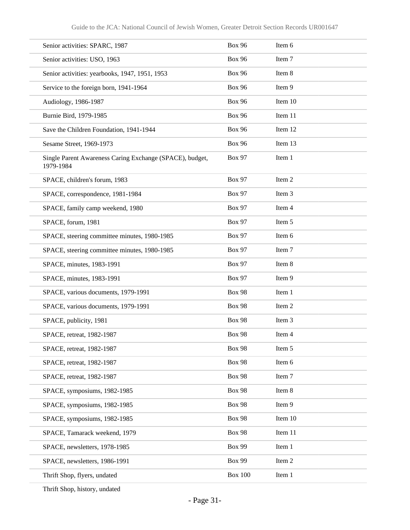| Senior activities: SPARC, 1987                                        | <b>Box 96</b>  | Item 6  |
|-----------------------------------------------------------------------|----------------|---------|
| Senior activities: USO, 1963                                          | <b>Box 96</b>  | Item 7  |
| Senior activities: yearbooks, 1947, 1951, 1953                        | <b>Box 96</b>  | Item 8  |
| Service to the foreign born, 1941-1964                                | <b>Box 96</b>  | Item 9  |
| Audiology, 1986-1987                                                  | <b>Box 96</b>  | Item 10 |
| Burnie Bird, 1979-1985                                                | <b>Box 96</b>  | Item 11 |
| Save the Children Foundation, 1941-1944                               | <b>Box 96</b>  | Item 12 |
| Sesame Street, 1969-1973                                              | <b>Box 96</b>  | Item 13 |
| Single Parent Awareness Caring Exchange (SPACE), budget,<br>1979-1984 | <b>Box 97</b>  | Item 1  |
| SPACE, children's forum, 1983                                         | <b>Box 97</b>  | Item 2  |
| SPACE, correspondence, 1981-1984                                      | <b>Box 97</b>  | Item 3  |
| SPACE, family camp weekend, 1980                                      | <b>Box 97</b>  | Item 4  |
| SPACE, forum, 1981                                                    | <b>Box 97</b>  | Item 5  |
| SPACE, steering committee minutes, 1980-1985                          | <b>Box 97</b>  | Item 6  |
| SPACE, steering committee minutes, 1980-1985                          | <b>Box 97</b>  | Item 7  |
| SPACE, minutes, 1983-1991                                             | <b>Box 97</b>  | Item 8  |
| SPACE, minutes, 1983-1991                                             | <b>Box 97</b>  | Item 9  |
| SPACE, various documents, 1979-1991                                   | <b>Box 98</b>  | Item 1  |
| SPACE, various documents, 1979-1991                                   | <b>Box 98</b>  | Item 2  |
| SPACE, publicity, 1981                                                | <b>Box 98</b>  | Item 3  |
| SPACE, retreat, 1982-1987                                             | <b>Box 98</b>  | Item 4  |
| SPACE, retreat, 1982-1987                                             | <b>Box 98</b>  | Item 5  |
| SPACE, retreat, 1982-1987                                             | <b>Box 98</b>  | Item 6  |
| SPACE, retreat, 1982-1987                                             | <b>Box 98</b>  | Item 7  |
| SPACE, symposiums, 1982-1985                                          | <b>Box 98</b>  | Item 8  |
| SPACE, symposiums, 1982-1985                                          | <b>Box 98</b>  | Item 9  |
| SPACE, symposiums, 1982-1985                                          | <b>Box 98</b>  | Item 10 |
| SPACE, Tamarack weekend, 1979                                         | <b>Box 98</b>  | Item 11 |
| SPACE, newsletters, 1978-1985                                         | <b>Box 99</b>  | Item 1  |
| SPACE, newsletters, 1986-1991                                         | <b>Box 99</b>  | Item 2  |
| Thrift Shop, flyers, undated                                          | <b>Box 100</b> | Item 1  |
|                                                                       |                |         |

Thrift Shop, history, undated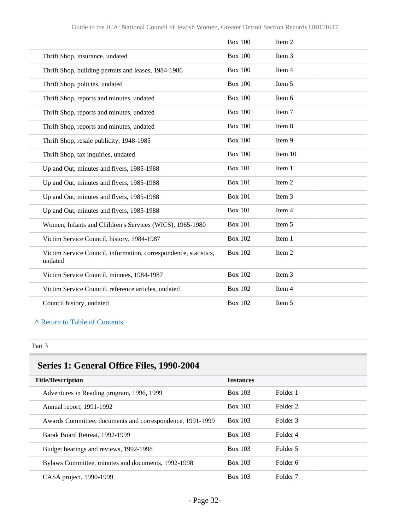|                                                                             | <b>Box 100</b> | Item 2  |
|-----------------------------------------------------------------------------|----------------|---------|
| Thrift Shop, insurance, undated                                             | <b>Box 100</b> | Item 3  |
| Thrift Shop, building permits and leases, 1984-1986                         | <b>Box 100</b> | Item 4  |
| Thrift Shop, policies, undated                                              | <b>Box 100</b> | Item 5  |
| Thrift Shop, reports and minutes, undated                                   | <b>Box 100</b> | Item 6  |
| Thrift Shop, reports and minutes, undated                                   | <b>Box 100</b> | Item 7  |
| Thrift Shop, reports and minutes, undated                                   | <b>Box 100</b> | Item 8  |
| Thrift Shop, resale publicity, 1948-1985                                    | <b>Box 100</b> | Item 9  |
| Thrift Shop, tax inquiries, undated                                         | <b>Box 100</b> | Item 10 |
| Up and Out, minutes and flyers, 1985-1988                                   | <b>Box 101</b> | Item 1  |
| Up and Out, minutes and flyers, 1985-1988                                   | <b>Box 101</b> | Item 2  |
| Up and Out, minutes and flyers, 1985-1988                                   | <b>Box 101</b> | Item 3  |
| Up and Out, minutes and flyers, 1985-1988                                   | <b>Box 101</b> | Item 4  |
| Women, Infants and Children's Services (WICS), 1965-1980                    | <b>Box 101</b> | Item 5  |
| Victim Service Council, history, 1984-1987                                  | <b>Box 102</b> | Item 1  |
| Victim Service Council, information, correspondence, statistics,<br>undated | <b>Box 102</b> | Item 2  |
| Victim Service Council, minutes, 1984-1987                                  | <b>Box 102</b> | Item 3  |
| Victim Service Council, reference articles, undated                         | <b>Box 102</b> | Item 4  |
| Council history, undated                                                    | <b>Box 102</b> | Item 5  |

#### Part 3

## **Series 1: General Office Files, 1990-2004**

| <b>Title/Description</b>                                  | <b>Instances</b> |                     |
|-----------------------------------------------------------|------------------|---------------------|
| Adventures in Reading program, 1996, 1999                 | <b>Box 103</b>   | Folder 1            |
| Annual report, 1991-1992                                  | <b>Box 103</b>   | Folder 2            |
| Awards Committee, documents and correspondence, 1991-1999 | <b>Box 103</b>   | Folder 3            |
| Barak Board Retreat, 1992-1999                            | Box 103          | Folder 4            |
| Budget hearings and reviews, 1992-1998                    | Box 103          | Folder 5            |
| Bylaws Committee, minutes and documents, 1992-1998        | Box 103          | Folder 6            |
| CASA project, 1990-1999                                   | <b>Box 103</b>   | Folder <sub>7</sub> |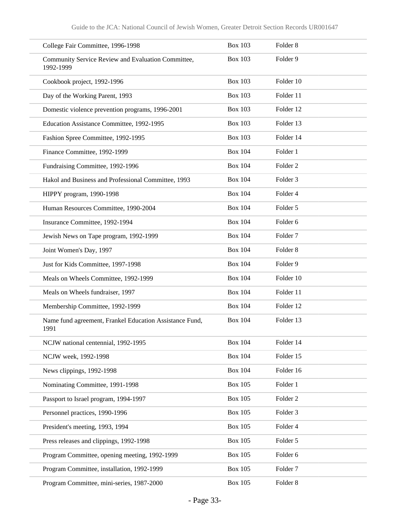| College Fair Committee, 1996-1998                               | <b>Box 103</b> | Folder <sub>8</sub> |
|-----------------------------------------------------------------|----------------|---------------------|
| Community Service Review and Evaluation Committee,<br>1992-1999 | <b>Box 103</b> | Folder 9            |
| Cookbook project, 1992-1996                                     | <b>Box 103</b> | Folder 10           |
| Day of the Working Parent, 1993                                 | <b>Box 103</b> | Folder 11           |
| Domestic violence prevention programs, 1996-2001                | <b>Box 103</b> | Folder 12           |
| Education Assistance Committee, 1992-1995                       | <b>Box 103</b> | Folder 13           |
| Fashion Spree Committee, 1992-1995                              | <b>Box 103</b> | Folder 14           |
| Finance Committee, 1992-1999                                    | <b>Box 104</b> | Folder 1            |
| Fundraising Committee, 1992-1996                                | <b>Box 104</b> | Folder <sub>2</sub> |
| Hakol and Business and Professional Committee, 1993             | <b>Box 104</b> | Folder <sub>3</sub> |
| HIPPY program, 1990-1998                                        | <b>Box 104</b> | Folder 4            |
| Human Resources Committee, 1990-2004                            | <b>Box 104</b> | Folder 5            |
| Insurance Committee, 1992-1994                                  | <b>Box 104</b> | Folder 6            |
| Jewish News on Tape program, 1992-1999                          | <b>Box 104</b> | Folder <sub>7</sub> |
| Joint Women's Day, 1997                                         | <b>Box 104</b> | Folder <sub>8</sub> |
| Just for Kids Committee, 1997-1998                              | <b>Box 104</b> | Folder 9            |
| Meals on Wheels Committee, 1992-1999                            | <b>Box 104</b> | Folder 10           |
| Meals on Wheels fundraiser, 1997                                | <b>Box 104</b> | Folder 11           |
| Membership Committee, 1992-1999                                 | <b>Box 104</b> | Folder 12           |
| Name fund agreement, Frankel Education Assistance Fund,<br>1991 | <b>Box 104</b> | Folder 13           |
| NCJW national centennial, 1992-1995                             | <b>Box 104</b> | Folder 14           |
| NCJW week, 1992-1998                                            | <b>Box 104</b> | Folder 15           |
| News clippings, 1992-1998                                       | <b>Box 104</b> | Folder 16           |
| Nominating Committee, 1991-1998                                 | <b>Box 105</b> | Folder 1            |
| Passport to Israel program, 1994-1997                           | <b>Box 105</b> | Folder <sub>2</sub> |
| Personnel practices, 1990-1996                                  | <b>Box 105</b> | Folder 3            |
| President's meeting, 1993, 1994                                 | <b>Box 105</b> | Folder 4            |
| Press releases and clippings, 1992-1998                         | <b>Box 105</b> | Folder 5            |
| Program Committee, opening meeting, 1992-1999                   | <b>Box 105</b> | Folder 6            |
| Program Committee, installation, 1992-1999                      | <b>Box 105</b> | Folder <sub>7</sub> |
| Program Committee, mini-series, 1987-2000                       | <b>Box 105</b> | Folder 8            |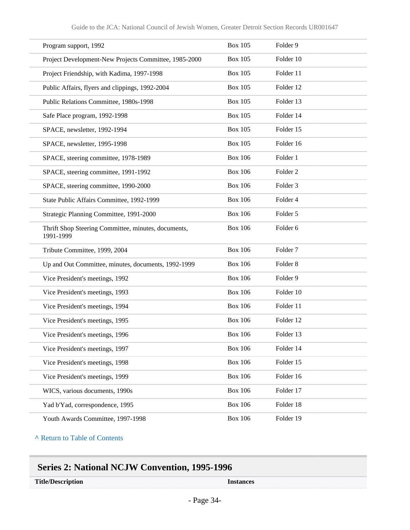| Program support, 1992                                            | <b>Box 105</b> | Folder 9            |
|------------------------------------------------------------------|----------------|---------------------|
| Project Development-New Projects Committee, 1985-2000            | <b>Box 105</b> | Folder 10           |
| Project Friendship, with Kadima, 1997-1998                       | <b>Box 105</b> | Folder 11           |
| Public Affairs, flyers and clippings, 1992-2004                  | <b>Box 105</b> | Folder 12           |
| Public Relations Committee, 1980s-1998                           | <b>Box 105</b> | Folder 13           |
| Safe Place program, 1992-1998                                    | <b>Box 105</b> | Folder 14           |
| SPACE, newsletter, 1992-1994                                     | <b>Box 105</b> | Folder 15           |
| SPACE, newsletter, 1995-1998                                     | <b>Box 105</b> | Folder 16           |
| SPACE, steering committee, 1978-1989                             | <b>Box 106</b> | Folder 1            |
| SPACE, steering committee, 1991-1992                             | <b>Box 106</b> | Folder <sub>2</sub> |
| SPACE, steering committee, 1990-2000                             | <b>Box 106</b> | Folder <sub>3</sub> |
| State Public Affairs Committee, 1992-1999                        | <b>Box 106</b> | Folder 4            |
| Strategic Planning Committee, 1991-2000                          | <b>Box 106</b> | Folder 5            |
| Thrift Shop Steering Committee, minutes, documents,<br>1991-1999 | <b>Box 106</b> | Folder 6            |
| Tribute Committee, 1999, 2004                                    | <b>Box 106</b> | Folder <sub>7</sub> |
| Up and Out Committee, minutes, documents, 1992-1999              | <b>Box 106</b> | Folder <sub>8</sub> |
| Vice President's meetings, 1992                                  | <b>Box 106</b> | Folder 9            |
| Vice President's meetings, 1993                                  | <b>Box 106</b> | Folder 10           |
| Vice President's meetings, 1994                                  | <b>Box 106</b> | Folder 11           |
| Vice President's meetings, 1995                                  | <b>Box 106</b> | Folder 12           |
| Vice President's meetings, 1996                                  | <b>Box 106</b> | Folder 13           |
| Vice President's meetings, 1997                                  | <b>Box 106</b> | Folder 14           |
| Vice President's meetings, 1998                                  | <b>Box 106</b> | Folder 15           |
| Vice President's meetings, 1999                                  | <b>Box 106</b> | Folder 16           |
| WICS, various documents, 1990s                                   | <b>Box 106</b> | Folder 17           |
| Yad b'Yad, correspondence, 1995                                  | <b>Box 106</b> | Folder 18           |
| Youth Awards Committee, 1997-1998                                | <b>Box 106</b> | Folder 19           |

### **Series 2: National NCJW Convention, 1995-1996**